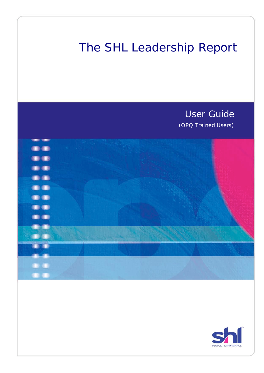# The SHL Leadership Report

User Guide (OPQ Trained Users)



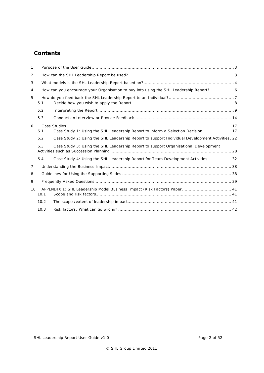# **Contents**

| $\mathbf{1}$   |      |                                                                                                |  |
|----------------|------|------------------------------------------------------------------------------------------------|--|
| 2              |      |                                                                                                |  |
| 3              |      |                                                                                                |  |
| 4              |      | How can you encourage your Organisation to buy into using the SHL Leadership Report? 6         |  |
| 5              | 5.1  |                                                                                                |  |
|                | 5.2  |                                                                                                |  |
|                | 5.3  |                                                                                                |  |
| 6              |      |                                                                                                |  |
|                | 6.1  | Case Study 1: Using the SHL Leadership Report to inform a Selection Decision  17               |  |
|                | 6.2  | Case Study 2: Using the SHL Leadership Report to support Individual Development Activities. 22 |  |
|                | 6.3  | Case Study 3: Using the SHL Leadership Report to support Organisational Development            |  |
|                | 6.4  | Case Study 4: Using the SHL Leadership Report for Team Development Activities 32               |  |
| $\overline{7}$ |      |                                                                                                |  |
| 8              |      |                                                                                                |  |
| 9              |      |                                                                                                |  |
| 10             | 10.1 | APPENDIX 1: SHL Leadership Model Business Impact (Risk Factors) Paper 41                       |  |
|                | 10.2 |                                                                                                |  |
|                | 10.3 |                                                                                                |  |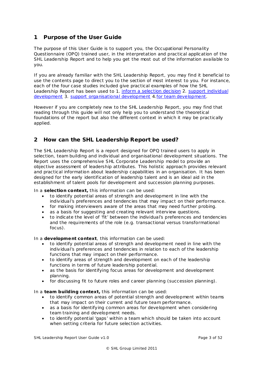# <span id="page-2-0"></span>**1 Purpose of the User Guide**

The purpose of this User Guide is to support you, the Occupational Personality Questionnaire (OPQ) trained user, in the interpretation and practical application of the SHL Leadership Report and to help you get the most out of the information available to you.

If you are already familiar with the SHL Leadership Report, you may find it beneficial to use the contents page to direct you to the section of most interest to you. For instance, each of the four case studies included give practical examples of how the SHL Leadership Report has been used to 1. [inform a selection decision](#page-16-1) 2. [support individual](#page-21-0)  [development](#page-21-0) 3. [support organisational development](#page-27-1) 4. for team development.

However if you are completely new to the SHL Leadership Report, you may find that reading through this guide will not only help you to understand the theoretical foundations of the report but also the different context in which it may be practically applied.

# <span id="page-2-1"></span>**2 How can the SHL Leadership Report be used?**

The SHL Leadership Report is a report designed for OPQ trained users to apply in selection, team building and individual and organisational development situations. The Report uses the comprehensive SHL Corporate Leadership model to provide an objective assessment of leadership attributes. This holistic approach provides relevant and practical information about leadership capabilities in an organisation. It has been designed for the early identification of leadership talent and is an ideal aid in the establishment of talent pools for development and succession planning purposes.

In a **selection context,** this information can be used:

- to identify potential areas of strength and development in line with the individual's preferences and tendencies that may impact on their performance.
- for making interviewers aware of the areas that may need further probing.
- as a basis for suggesting and creating relevant interview questions.
- to indicate the level of 'fit' between the individual's preferences and tendencies and the requirements of the role (e.g. transactional versus transformational focus).

In a **development context**, this information can be used:

- to identify potential areas of strength and development need in line with the individual's preferences and tendencies in relation to each of the leadership functions that may impact on their performance.
- to identify areas of strength and development on each of the leadership functions in terms of future leadership potential.
- as the basis for identifying focus areas for development and development planning.
- for discussing fit to future roles and career planning (succession planning).

In a **team building context,** this information can be used:

- to identify common areas of potential strength and development within teams that may impact on their current and future team performance.
- as a basis for identifying common areas for development when considering team training and development needs.
- to identify potential 'gaps' within a team which should be taken into account when setting criteria for future selection activities.

SHL Leadership Report User Guide v1.0 **Page 3 of 52** Page 3 of 52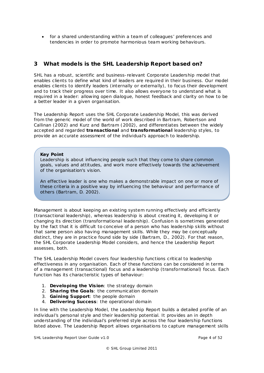• for a shared understanding within a team of colleagues' preferences and tendencies in order to promote harmonious team working behaviours.

# <span id="page-3-0"></span>**3 What mode ls is the SHL Leadership Report based on?**

SHL has a robust, scientific and business-relevant Corporate Leadership model that enables clients to define what kind of leaders are required in their business. Our model enables clients to identify leaders (internally or externally), to focus their development and to track their progress over time. It also allows everyone to understand what is required in a leader: allowing open dialogue, honest feedback and clarity on how to be a better leader in a given organisation.

The Leadership Report uses the SHL Corporate Leadership Model, this was derived from the generic model of the world of work described in Bartram, Robertson and Callinan (2002) and Kurz and Bartram (2002), and differentiates between the widely accepted and regarded **transactional** and **transformationa l** leadership styles, to provide an accurate assessment of the individual's approach to leadership.

## *Key Point*

*Leadership is about influencing people such that they come to share common goals, values and attitudes, and work more effectively towards the achievement of the organisation's vision.*

*An effective leader is one who makes a demonstrable impact on one or more of these criteria in a positive way by influencing the behaviour and performance of others (Bartram, D. 2002).*

Management is about keeping an existing system running effectively and efficiently (transactional leadership), whereas leadership is about creating it, developing it or changing its direction (transformational leadership). Confusion is sometimes generated by the fact that it is difficult to conceive of a person who has leadership skills without that same person also having management skills. While they may be conceptually distinct, they are in practice found side by side (Bartram, D., 2002). For that reason, the SHL Corporate Leadership Model considers, and hence the Leadership Report assesses, both.

The SHL Leadership Model covers four leadership functions critical to leadership effectiveness in any organisation. Each of these functions can be considered in terms of a management (transactional) focus and a leadership (transformational) focus. Each function has its characteristic types of behaviour:

- 1. **Developing the Vis ion**: the strategy domain
- 2. **Sharing the Goa ls**: the communication domain
- 3. **Gaining Support**: the people domain
- 4. **Delivering Success**: the operational domain

In line with the Leadership Model, the Leadership Report builds a detailed profile of an individual's personal style and their leadership potential. It provides an in depth understanding of the individual's preferred style across the four leadership functions listed above. The Leadership Report allows organisations to capture management skills

SHL Leadership Report User Guide v1.0 **Page 4 of 52** Page 4 of 52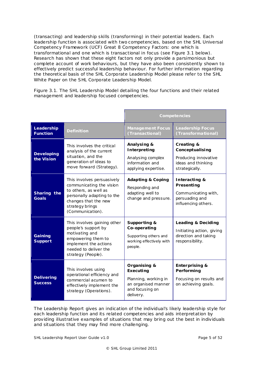(transacting) and leadership skills (transforming) in their potential leaders. Each leadership function is associated with two competencies, based on the SHL Universal Competency Framework (UCF) Great 8 Competency Factors: one which is transformational and one which is transactional in focus (see Figure 3.1 below). Research has shown that these eight factors not only provide a parsimonious but complete account of work behaviours, but they have also been consistently shown to effectively predict successful leadership behaviour. For further information regarding the theoretical basis of the SHL Corporate Leadership Model please refer to the SHL White Paper on the SHL Corporate Leadership Model.

Figure 3.1. The SHL Leadership Model detailing the four functions and their related management and leadership focused competencies.

|                                     |                                                                                                                                                                              |                                                                                                          | Competencies                                                                                  |  |  |
|-------------------------------------|------------------------------------------------------------------------------------------------------------------------------------------------------------------------------|----------------------------------------------------------------------------------------------------------|-----------------------------------------------------------------------------------------------|--|--|
| Leadership<br><b>Function</b>       | <b>Definition</b>                                                                                                                                                            | <b>Management Focus</b><br>(Transactional)                                                               | <b>Leadership Focus</b><br>(Transformational)                                                 |  |  |
| <b>Developing</b><br>the Vision     | This involves the critical<br>analysis of the current<br>situation, and the<br>generation of ideas to<br>move forward (Strategy).                                            | Analysing &<br>Interpreting<br>Analysing complex<br>information and<br>applying expertise.               | Creating &<br>Conceptualising<br>Producing innovative<br>ideas and thinking<br>strategically. |  |  |
| Sharing the<br><b>Goals</b>         | This involves persuasively<br>communicating the vision<br>to others, as well as<br>personally adapting to the<br>changes that the new<br>strategy brings<br>(Communication). | <b>Adapting &amp; Coping</b><br>Responding and<br>adapting well to<br>change and pressure.               | Interacting &<br>Presenting<br>Communicating with,<br>persuading and<br>influencing others.   |  |  |
| Gaining<br><b>Support</b>           | This involves gaining other<br>people's support by<br>motivating and<br>empowering them to<br>implement the actions<br>needed to deliver the<br>strategy (People).           | Supporting &<br>Co-operating<br>Supporting others and<br>working effectively with<br>people.             | Leading & Deciding<br>Initiating action, giving<br>direction and taking<br>responsibility.    |  |  |
| <b>Delivering</b><br><b>Success</b> | This involves using<br>operational efficiency and<br>commercial acumen to<br>effectively implement the<br>strategy (Operations).                                             | Organising &<br>Executing<br>Planning, working in<br>an organised manner<br>and focusing on<br>delivery. | <b>Enterprising &amp;</b><br>Performing<br>Focusing on results and<br>on achieving goals.     |  |  |

The Leadership Report gives an indication of the individual's likely leadership style for each leadership function and its related competencies and aids interpretation by providing illustrative examples of situations that may bring out the best in individuals and situations that they may find more challenging.

SHL Leadership Report User Guide v1.0 **Page 5 of 52** Page 5 of 52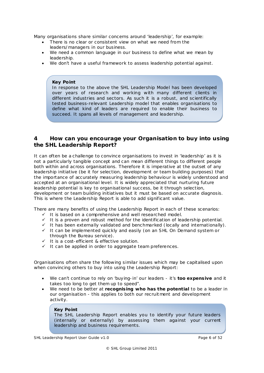Many organisations share similar concerns around 'leadership', for example:

- There is no clear or consistent view on what we need from the leaders/managers in our business.
- We need a common language in our business to define what we mean by leadership.
- We don't have a useful framework to assess leadership potential against.

## *Key Point*

*In response to the above the SHL Leadership Model has been developed over years of research and working with many different clients in different industries and sectors. As such it is a robust, and scientifically tested business-relevant Leadership model that enables organisations to define what kind of leaders are required to enable their business to succeed. It spans all levels of management and leadership.*

# <span id="page-5-0"></span>**4 How can you encourage your Organisation to buy into using the SHL Leadership Report?**

It can often be a challenge to convince organisations to invest in 'leadership' as it is not a particularly tangible concept and can mean different things to different people both within and across organisations. Therefore it is imperative at the outset of any leadership initiative (be it for selection, development or team building purposes) that the importance of accurately measuring leadership behaviour is widely understood and accepted at an organisational level. It is widely appreciated that nurturing future leadership potential is key to organisational success, be it through selection, development or team building initiatives but it must be based on accurate diagnosis. This is where the Leadership Report is able to add significant value.

There are many benefits of using the Leadership Report in each of these scenarios:

- $\checkmark$  It is based on a comprehensive and well researched model.
- $\checkmark$  It is a proven and robust method for the identification of leadership potential.
- $\checkmark$  It has been externally validated and benchmarked (locally and internationally).
- $\checkmark$  It can be implemented quickly and easily (on an SHL On Demand system or through the Bureau service).
- $\checkmark$  It is a cost-efficient & effective solution.
- $I$  It can be applied in order to aggregate team preferences.

Organisations often share the following similar issues which may be capitalised upon when convincing others to buy into using the Leadership Report:

- We can't continue to rely on 'buying-in' our leaders it's **too expens ive** and it takes too long to get them up to speed".
- We need to be better at **recognis ing who has the potential** to be a leader in our organisation - this applies to both our recruitment and development activity.

## *Key Point*

*The SHL Leadership Report enables you to identify your future leaders (internally or externally) by assessing them against your current leadership and business requirements.*

SHL Leadership Report User Guide v1.0 **Page 6 of 52** Page 6 of 52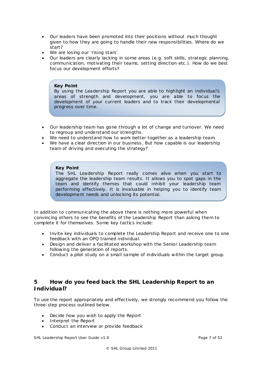- Our leaders have been promoted into their positions without much thought given to how they are going to handle their new responsibilities. Where do we start?
- We are losing our 'rising stars'.
- Our leaders are clearly lacking in some areas (e.g. soft skills, strategic planning, communication, motivating their teams, setting direction etc .). How do we best focus our development efforts?

## *Key Point*

*By using the Leadership Report you are able to highlight an individual's areas of strength and development, you are able to focus the development of your current leaders and to track their developmental progress over time.*

- Our leadership team has gone through a lot of change and turnover. We need to regroup and understand our strengths.
- We need to understand how to work better together as a leadership team.
- We have a clear direction in our business. But how capable is our leadership team of driving and executing the strategy?

## *Key Point*

*The SHL Leadership Report really comes alive when you start to aggregate the leadership team results. It allows you to spot gaps in the team and identify themes that could inhibit your leadership team performing effectively. It is invaluable in helping you to identify team development needs and unlocking its potential.*

In addition to communicating the above there is nothing more powerful when convincing others to see the benefits of the Leadership Report than asking them to complete it for themselves. Some key tactics include:

- Invite key individuals to complete the Leadership Report and receive one to one feedback with an OPQ trained individual.
- Design and deliver a facilitated workshop with the Senior Leadership team following the generation of reports.
- Conduct a pilot study on a small sample of individuals within the target group.

# <span id="page-6-0"></span>**5 How do you feed back the SHL Leadership Report to an Individual?**

To use the report appropriately and effectively, we strongly recommend you follow the three-step process outlined below.

- Decide how you wish to apply the Report
- Interpret the Report
- Conduct an interview or provide feedback

SHL Leadership Report User Guide v1.0 **Page 7** of 52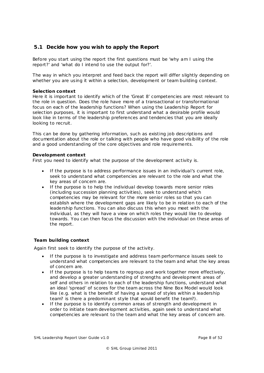## <span id="page-7-0"></span>**5.1 Decide how you wish to apply the Report**

Before you start using the report the first questions must be 'why am I using the report?' and 'what do I intend to use the output for?'.

The way in which you interpret and feed back the report will differ slightly depending on whether you are using it within a selection, development or team building context.

#### **Selection context**

Here it is important to identify which of the 'Great 8' competencies are most relevant to the role in question. Does the role have more of a transactional or transformational focus on each of the leadership functions? When using the Leadership Report for selection purposes, it is important to first understand what a desirable profile would look like in terms of the leadership preferences and tendencies that you are ideally looking to recruit.

This can be done by gathering information, such as existing job descriptions and documentation about the role or talking with people who have good visibility of the role and a good understanding of the core objectives and role requirements.

## **Development context**

First you need to identify what the purpose of the development activity is.

- If the purpose is to address performance issues in an individual's current role, seek to understand what competencies are relevant to the role and what the key areas of concern are.
- If the purpose is to help the individual develop towards more senior roles (including succession planning activities), seek to understand which competencies may be relevant for the more senior roles so that you can establish where the development gaps are likely to be in relation to each of the leadership functions. You can also discuss this when you meet with the individual, as they will have a view on which roles they would like to develop towards. You can then focus the discussion with the individual on these areas of the report.

## **Team building context**

Again first seek to identify the purpose of the activity.

- If the purpose is to investigate and address team performance issues seek to understand what competencies are relevant to the team and what the key areas of concern are.
- If the purpose is to help teams to regroup and work together more effectively, and develop a greater understanding of strengths and development areas of self and others in relation to each of the leadership functions, understand what an ideal 'spread' of scores for the team across the Nine Box Model would look like (e.g. what is the benefit of having a spread of styles within a leadership team? is there a predominant style that would benefit the team?).
- If the purpose is to identify common areas of strength and development in order to initiate team development activities, again seek to understand what competencies are relevant to the team and what the key areas of concern are.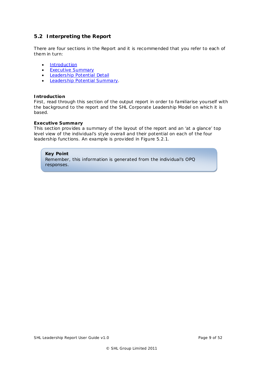# <span id="page-8-0"></span>**5.2 Interpreting the Report**

There are four sections in the Report and it is recommended that you refer to each of them in turn:

- [Introduction](#page-8-1)
- **[Executive Summary](#page-8-2)**
- [Leadership Potential Detail](#page-9-0)
- [Leadership Potential Summary.](#page-13-1)

## <span id="page-8-1"></span>**Introduction**

First, read through this section of the output report in order to familiarise yourself with the background to the report and the SHL Corporate Leadership Model on which it is based.

## <span id="page-8-2"></span>**Executive Summary**

This section provides a summary of the layout of the report and an 'at a glance' top level view of the individual's style overall and their potential on each of the four leadership functions. An example is provided in Figure 5.2.1.

## *Key Point*

*Remember, this information is generated from the individual's OPQ responses.*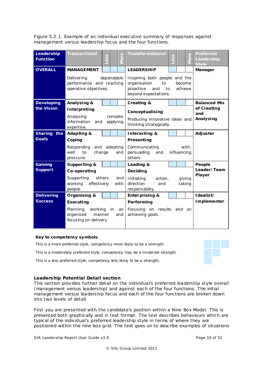Figure 5.2.1. Example of an individual executive summary of responses against management versus leadership focus and the four functions.

| Leadership<br><b>Function</b> | <b>Transactional</b>                                                 | ess        |                     | $\mathbf 0$<br><u>ō</u> | <b>Transformational</b>                                                                               | ess                  |        | $\mathbf 0$<br>$\overline{5}$ | <b>Preferred</b><br>Leadership<br><b>Style</b> |  |
|-------------------------------|----------------------------------------------------------------------|------------|---------------------|-------------------------|-------------------------------------------------------------------------------------------------------|----------------------|--------|-------------------------------|------------------------------------------------|--|
| <b>OVERALL</b>                | <b>MANAGEMENT</b>                                                    |            |                     |                         | <b>LEADERSHIP</b>                                                                                     |                      |        |                               | Manager                                        |  |
|                               | Delivering<br>performance and reaching<br>operative objectives.      | dependable |                     |                         | Inspiring both people and the<br>organisation<br>to<br>proactive<br>and<br>to<br>beyond expectations. | become<br>achieve    |        |                               |                                                |  |
| <b>Developing</b>             | Analysing &                                                          |            |                     |                         | Creating &                                                                                            |                      |        |                               | <b>Balanced Mix</b>                            |  |
| the Vision                    | Interpreting                                                         |            |                     |                         | Conceptualising                                                                                       |                      |        |                               | of Creating                                    |  |
|                               | Analysing<br>information<br>and<br>expertise.                        |            | complex<br>applying |                         | Producing innovative ideas and<br>thinking strategically.                                             | and<br>Analysing     |        |                               |                                                |  |
| Sharing the                   | <b>Adapting &amp;</b>                                                |            |                     |                         | Interacting &                                                                                         |                      |        |                               | Adjuster                                       |  |
| <b>Goals</b>                  | Coping                                                               |            |                     |                         | Presenting                                                                                            |                      |        |                               |                                                |  |
|                               | Responding and adapting<br>well<br>to<br>change<br>pressure.         |            |                     | and                     | Communicating<br>persuading<br>and<br>others.                                                         | with,<br>influencing |        |                               |                                                |  |
| Gaining                       | Supporting &                                                         |            |                     |                         | Leading &                                                                                             |                      |        |                               | People                                         |  |
| <b>Support</b>                | Co-operating                                                         |            |                     |                         | Deciding                                                                                              |                      |        |                               | Leader/Team                                    |  |
|                               | Supporting<br>effectively<br>working<br>people.                      | others     |                     | and<br>with             | Initiating<br>action,<br>direction<br>and<br>responsibility.                                          |                      |        | giving<br>taking              | Player                                         |  |
| <b>Delivering</b>             | Organising &                                                         |            |                     |                         | <b>Enterprising &amp;</b>                                                                             |                      |        |                               | Idealist/                                      |  |
| <b>Success</b>                | Executing                                                            |            |                     |                         | Performing                                                                                            |                      |        |                               | Implementer                                    |  |
|                               | Planning,<br>working<br>organised<br>manner<br>focusing on delivery. |            | in                  | an<br>and               | Focusing on results<br>achieving goals.                                                               |                      | and on |                               |                                                |  |

## **Key to competency symbols**

*This is a more preferred style, competency more likely to be a strength. This is a moderately preferred style, competency may be a moderate strength.*

*This is a less preferred style, competency less likely to be a strength.*

## <span id="page-9-0"></span>**Leadership Potential Detail section**

This section provides further detail on the individual's preferred leadership style overall (management versus leadership) and against each of the four functions. The initial management versus leadership focus and each of the four functions are broken down into two levels of detail.

First you are presented with the candidate's position within a Nine Box Model. This is presented both graphically and in text format. The text describes behaviours which are *typical* of the individual's preferred leadership style in terms of where they are positioned within the nine box grid. The text goes on to describe examples of situations

SHL Leadership Report User Guide v1.0 **Page 10 of 52** Page 10 of 52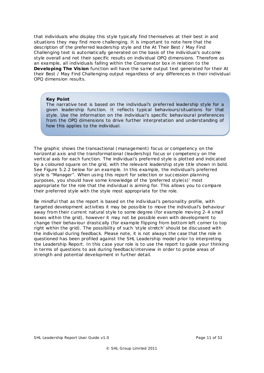that individuals who display this style typically find themselves at their best in and situations they may find more challenging. It is important to note here that the description of the preferred leadership style and the At Their Best / May Find Challenging text is automatically generated on the basis of the individual's outcome style overall and not their specific results on individual OPQ dimensions. Therefore as an example, all individuals falling within the Conservator box in relation to the **Developing The Vis ion** function will have the same output text generated for their At their Best / May Find Challenging output regardless of any differences in their individual OPQ dimension results.

#### *Key Point*

*The narrative text is based on the individual's preferred leadership style for a given leadership function. It reflects typical behaviours/situations for that style. Use the information on the individual's specific behavioural preferences from the OPQ dimensions to drive further interpretation and understanding of how this applies to the individual.*

The graphic shows the transactional (management) focus or competency on the horizontal axis and the transformational (leadership) focus or competency on the vertical axis for each function. The individual's preferred style is plotted and indicated by a coloured square on the grid, with the relevant leadership style title shown in bold. See Figure 5.2.2 below for an example. In this example, the individual's preferred style is "Manager". When using this report for selection or succession planning purposes, you should have some knowledge of the 'preferred style(s)' most appropriate for the role that the individual is aiming for. This allows you to compare their preferred style with the style most appropriate for the role.

Be mindful that as the report is based on the individual's personality profile, with targeted development activities it may be possible to move the individual's behaviour away from their current natural style to some degree (for example moving 2-4 small boxes within the grid), however it may not be possible even with development to change their behaviour drastically (for example flipping from bottom left corner to top right within the grid). The possibility of such 'style stretch' should be discussed with the individual during feedback. Please note, it is not always the case that the role in questioned has been profiled against the SHL Leadership model prior to interpreting the Leadership Report. In this case your role is to use the report to guide your thinking in terms of questions to ask during feedback/interview in order to probe areas of strength and potential development in further detail.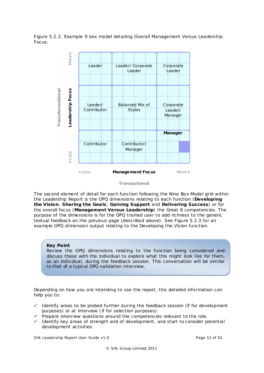Figure 5.2.2. Example 9 box model detailing Overall Management Versus Leadership Focus.



*Transactional*

The second element of detail for each function following the Nine Box Model grid within the Leadership Report is the OPQ dimensions relating to each function (**Developing the Vision**; **Sharing the Goa ls**; **Gaining Support** and **Delivering Success**) or for the overall focus (**Management Versus Leadership**) the Great 8 competencies. The purpose of the dimensions is for the OPQ trained user to add richness to the generic textual feedback on the previous page (described above). See Figure 5.2.3 for an example OPQ dimension output relating to the Developing the Vision function.

## *Key Point*

*Review the OPQ dimensions relating to the function being considered and discuss these with the individual to explore what this might look like for them, as an individual, during the feedback session. This conversation will be similar to that of a typical OPQ validation interview.*

Depending on how you are intending to use the report, this detailed information can help you to:

- $\checkmark$  Identify areas to be probed further during the feedback session (if for development purposes) or at interview (if for selection purposes).
- Prepare interview questions around the competencies relevant to the role.
- $\checkmark$  Identify key areas of strength and of development, and start to consider potential development activities.

SHL Leadership Report User Guide v1.0 **Page 12 of 52** Page 12 of 52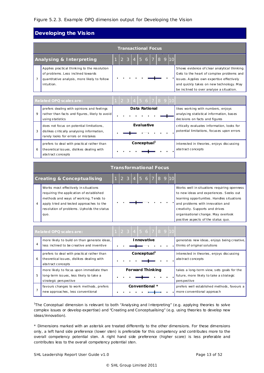## Figure 5.2.3. Example OPQ dimension output for Developing the Vision

# **Developing the Vision**

| <b>Transactional Focus</b>                                                                                                                       |  |     |                      |  |  |              |  |  |  |  |                                                                                                                                                                                                                                |
|--------------------------------------------------------------------------------------------------------------------------------------------------|--|-----|----------------------|--|--|--------------|--|--|--|--|--------------------------------------------------------------------------------------------------------------------------------------------------------------------------------------------------------------------------------|
| <b>Analysing &amp; Interpreting</b>                                                                                                              |  | 2 3 |                      |  |  | 4 56 7 89 10 |  |  |  |  |                                                                                                                                                                                                                                |
| Applies practical thinking to the resolution<br>of problems. Less inclined towards<br>quantitative analysis, more likely to follow<br>intuition. |  |     |                      |  |  |              |  |  |  |  | Shows evidence of clear analytical thinking.<br>Gets to the heart of complex problems and<br>issues. Applies own expertise effectively<br>and quickly takes on new technology. May<br>be inclined to over analyse a situation. |
| _ _ _ _ _ _ _ _                                                                                                                                  |  |     | $\sim$ $\sim$ $\sim$ |  |  | .            |  |  |  |  |                                                                                                                                                                                                                                |

|   | Related OPQ scales are:                                                                                                       |  |  |                         |  | 1   2   3   4   5   6   7   8 <u>9   10</u> |                                                                                                                  |
|---|-------------------------------------------------------------------------------------------------------------------------------|--|--|-------------------------|--|---------------------------------------------|------------------------------------------------------------------------------------------------------------------|
| 9 | prefers dealing with opinions and feelings<br>rather than facts and figures, likely to avoid<br>using statistics              |  |  | Data Rational           |  |                                             | likes working with numbers, enjoys<br>analysing statistical information, bases<br>decisions on facts and figures |
| 3 | does not focus on potential limitations,<br>dislikes critically analysing information,<br>rarely looks for errors or mistakes |  |  | <b>Evaluative</b>       |  |                                             | critically evaluates information, looks for<br>potential limitations, focuses upon errors                        |
| 6 | prefers to deal with practical rather than<br>theoretical issues, dislikes dealing with<br>abstract concepts                  |  |  | Conceptual <sup>1</sup> |  |                                             | interested in theories, enjoys discussing<br>abstract concepts                                                   |

|  | <b>Transformational Focus</b> |
|--|-------------------------------|
|  |                               |

| Works most effectively in situations<br>Works well in situations requiring openness<br>to new ideas and experiences. Seeks out<br>requiring the application of established<br>methods and ways of working. Tends to<br>learning opportunities. Handles situations<br>and problems with innovation and<br>apply tried and tested approaches to the<br>4<br>resolution of problems. Upholds the status<br>creativity. Supports and drives<br>organisational change. May overlook<br>quo.<br>positive aspects of the status quo. | <b>Creating &amp; Conceptualising</b> |  | $2 \overline{3}$ |  |  |  | $14$ 5 6 7 8 9 10 |  |
|-------------------------------------------------------------------------------------------------------------------------------------------------------------------------------------------------------------------------------------------------------------------------------------------------------------------------------------------------------------------------------------------------------------------------------------------------------------------------------------------------------------------------------|---------------------------------------|--|------------------|--|--|--|-------------------|--|
|                                                                                                                                                                                                                                                                                                                                                                                                                                                                                                                               |                                       |  |                  |  |  |  |                   |  |

|   | <b>Related OPQ scales are:</b>                                                                               |  |  | 12345678910             |  |  |                                                                                                       |
|---|--------------------------------------------------------------------------------------------------------------|--|--|-------------------------|--|--|-------------------------------------------------------------------------------------------------------|
| 4 | more likely to build on than generate ideas,<br>less inclined to be creative and inventive                   |  |  | Innovative              |  |  | generates new ideas, enjoys being creative,<br>thinks of original solutions                           |
| 6 | prefers to deal with practical rather than<br>theoretical issues, dislikes dealing with<br>abstract concepts |  |  | Conceptual <sup>1</sup> |  |  | interested in theories, enjoys discussing<br>abstract concepts                                        |
| 5 | more likely to focus upon immediate than<br>long-term issues, less likely to take a<br>strategic perspective |  |  | <b>Forward Thinking</b> |  |  | takes a long-term view, sets goals for the<br>future, more likely to take a strategic<br>pers pective |
|   | favours changes to work methods, prefers<br>new approaches, less conventional                                |  |  | Conventional *          |  |  | prefers well established methods, favours a<br>more conventional approach                             |

1 The Conceptual dimension is relevant to both "Analysing and Interpreting" (e.g. applying theories to solve complex issues or develop expertise) and "Creating and Conceptualising" (e.g. using theories to develop new ideas/innovation).

*\* Dimensions marked with an asterisk are treated differently to the other dimensions. For these dimensions only, a left hand side preference (lower sten) is preferable for this competency and contributes more to the overall competency potential sten. A right hand side preference (higher score) is less preferable and contributes less to the overall competency potential sten.*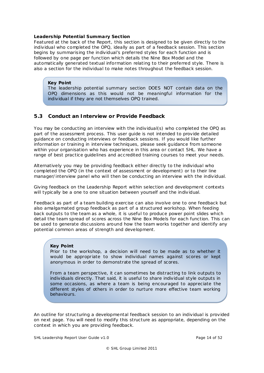#### <span id="page-13-1"></span>**Leadership Potential Summary Section**

Featured at the back of the Report, this section is designed to be given directly to the individual who completed the OPQ, ideally as part of a feedback session. This section begins by summarising the individual's preferred styles for each function and is followed by one page per function which details the Nine Box Model and the automatically generated textual information relating to their preferred style. There is also a section for the individual to make notes throughout the feedback session.

## *Key Point*

*The leadership potential summary section DOES NOT contain data on the OPQ dimensions as this would not be meaningful information for the individual if they are not themselves OPQ trained.*

## <span id="page-13-0"></span>**5.3 Conduct an Interview or Provide Feedback**

You may be conducting an interview with the individual(s) who completed the OPQ as part of the assessment process. This user guide is not intended to provide detailed guidance on conducting interviews or feedback sessions. If you would like further information or training in interview techniques, please seek guidance from someone within your organisation who has experience in this area or contact SHL. We have a range of best practice guidelines and accredited training courses to meet your needs.

Alternatively you may be providing feedback either directly to the individual who completed the OPQ (in the context of assessment or development) or to their line manager/interview panel who will then be conducting an interview with the individual.

Giving feedback on the Leadership Report within selection and development contexts will typically be a one to one situation between yourself and the individual.

Feedback as part of a team building exercise can also involve one to one feedback but also amalgamated group feedback as part of a structured workshop. When feeding back outputs to the team as a whole, it is useful to produce power point slides which detail the team spread of scores across the Nine Box Models for each function. This can be used to generate discussions around how the team works together and identify any potential common areas of strength and development.

## *Key Point*

*Prior to the workshop, a decision will need to be made as to whether it would be appropriate to show individual names against scores or kept anonymous in order to demonstrate the spread of scores.*

*From a team perspective, it can sometimes be distracting to link outputs to individuals directly. That said, it is useful to share individual style outputs in some occasions, as where a team is being encouraged to appreciate the different styles of others in order to nurture more effective team working behaviours.*

An outline for structuring a developmental feedback session to an individual is provided on next page. You will need to modify this structure as appropriate, depending on the context in which you are providing feedback.

SHL Leadership Report User Guide v1.0 Page 14 of 52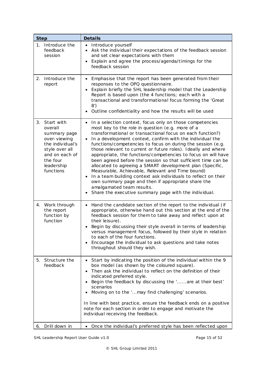| <b>Step</b>                                                                                                                                                | <b>Details</b>                                                                                                                                                                                                                                                                                                                                                                                                                                                                                                                                                                                                                                                                                                                                                                                                                                                     |
|------------------------------------------------------------------------------------------------------------------------------------------------------------|--------------------------------------------------------------------------------------------------------------------------------------------------------------------------------------------------------------------------------------------------------------------------------------------------------------------------------------------------------------------------------------------------------------------------------------------------------------------------------------------------------------------------------------------------------------------------------------------------------------------------------------------------------------------------------------------------------------------------------------------------------------------------------------------------------------------------------------------------------------------|
| 1. Introduce the<br>feedback<br>session                                                                                                                    | Introduce yourself<br>$\bullet$<br>Ask the individual their expectations of the feedback session<br>and set clear expectations with them<br>Explain and agree the process/agenda/timings for the<br>feedback session                                                                                                                                                                                                                                                                                                                                                                                                                                                                                                                                                                                                                                               |
| Introduce the<br>2.<br>report                                                                                                                              | Emphasise that the report has been generated from their<br>$\bullet$<br>responses to the OPQ questionnaire.<br>Explain briefly the SHL leadership model that the Leadership<br>Report is based upon (the 4 functions; each with a<br>transactional and transformational focus forming the 'Great<br>8')<br>Outline confidentiality and how the results will be used                                                                                                                                                                                                                                                                                                                                                                                                                                                                                                |
| Start with<br>3.<br>overall<br>summary page<br>over-viewing<br>the individual's<br>style over all<br>and on each of<br>the four<br>leadership<br>functions | In a selection context, focus only on those competencies<br>$\bullet$<br>most key to the role in question (e.g. more of a<br>transformational or transactional focus on each function?)<br>In a development context, confirm with the individual the<br>$\bullet$<br>functions/competencies to focus on during the session (e.g.<br>those relevant to current or future roles). Ideally and where<br>appropriate, the functions/competencies to focus on will have<br>been agreed before the session so that sufficient time can be<br>allocated to agreeing a SMART development plan (Specific,<br>Measurable, Achievable, Relevant and Time bound)<br>In a team building context ask individuals to reflect on their<br>own summary page and then if appropriate share the<br>amalgamated team results.<br>Share the executive summary page with the individual. |
| 4. Work through<br>the report<br>function by<br>function                                                                                                   | Hand the candidate section of the report to the individual (if<br>appropriate, otherwise hand out this section at the end of the<br>feedback session for them to take away and reflect upon at<br>their leisure).<br>Begin by discussing their style overall in terms of leadership<br>versus management focus, followed by their style in relation<br>to each of the four functions.<br>Encourage the individual to ask questions and take notes<br>throughout should they wish.                                                                                                                                                                                                                                                                                                                                                                                  |
| Structure the<br>5.<br>feedback                                                                                                                            | Start by indicating the position of the individual within the 9<br>box model (as shown by the coloured square).<br>Then ask the individual to reflect on the definition of their<br>indicated preferred style.<br>Begin the feedback by discussing the 'are at their best'<br>scenarios<br>Moving on to the ' may find challenging' scenarios.<br>In line with best practice, ensure the feedback ends on a positive<br>note for each section in order to engage and motivate the<br>individual receiving the feedback.                                                                                                                                                                                                                                                                                                                                            |
| Drill down in<br>6.                                                                                                                                        | Once the individual's preferred style has been reflected upon<br>$\bullet$                                                                                                                                                                                                                                                                                                                                                                                                                                                                                                                                                                                                                                                                                                                                                                                         |

SHL Leadership Report User Guide v1.0 **Page 15 of 52** Page 15 of 52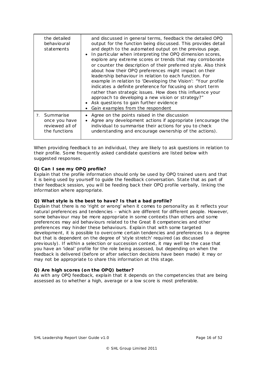| the detailed<br>behavioural<br>statements                         | and discussed in general terms, feedback the detailed OPQ<br>output for the function being discussed. This provides detail<br>and depth to the automated output on the previous page.<br>In particular when interpreting the OPQ dimension scores,<br>explore any extreme scores or trends that may corroborate<br>or counter the description of their preferred style. Also think<br>about how their OPQ preferences might impact on their<br>leadership behaviour in relation to each function. For<br>example in relation to 'Developing the Vision': "Your profile<br>indicates a definite preference for focusing on short term<br>rather than strategic issues. How does this influence your<br>approach to developing a new vision or strategy?"<br>Ask questions to gain further evidence<br>Gain examples from the respondent |
|-------------------------------------------------------------------|----------------------------------------------------------------------------------------------------------------------------------------------------------------------------------------------------------------------------------------------------------------------------------------------------------------------------------------------------------------------------------------------------------------------------------------------------------------------------------------------------------------------------------------------------------------------------------------------------------------------------------------------------------------------------------------------------------------------------------------------------------------------------------------------------------------------------------------|
| 7. Summarise<br>once you have<br>reviewed all of<br>the functions | • Agree on the points raised in the discussion<br>Agree any development actions if appropriate (encourage the<br>individual to summarise their actions for you to check<br>understanding and encourage ownership of the actions).                                                                                                                                                                                                                                                                                                                                                                                                                                                                                                                                                                                                      |

When providing feedback to an individual, they are likely to ask questions in relation to their profile. Some frequently asked candidate questions are listed below with suggested responses.

## **Q) Can I see my OPQ profile?**

Explain that the profile information should only be used by OPQ trained users and that it is being used by yourself to guide the feedback conversation. State that as part of their feedback session, you will be feeding back their OPQ profile verbally, linking the information where appropriate.

## **Q) What style is the best to have? Is that a bad profile?**

Explain that there is no 'right or wrong' when it comes to personality as it reflects your natural preferences and tendencies – which are different for different people. However, some behaviour may be more appropriate in some contexts than others and some preferences may aid behaviours related to the Great 8 competencies and other preferences may hinder these behaviours. Explain that with some targeted development, it is possible to overcome certain tendencies and preferences to a degree but that is dependent on the degree of 'style stretch' required (as discussed previously). If within a selection or succession context, it may well be the case that you have an 'ideal' profile for the role being assessed, but depending on when the feedback is delivered (before or after selection decisions have been made) it may or may not be appropriate to share this information at this stage.

## **Q) Are high scores (on the OPQ) better?**

As with any OPQ feedback, explain that it depends on the competencies that are being assessed as to whether a high, average or a low score is most preferable.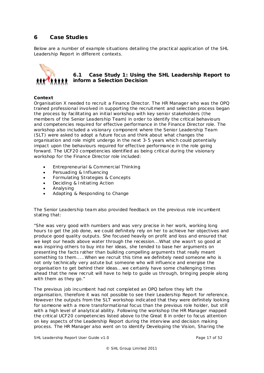# <span id="page-16-0"></span>**6 Case Studies**

Below are a number of example situations detailing the practical application of the SHL Leadership Report in different contexts.



## <span id="page-16-1"></span>**6.1 Case Study 1: Using the SHL Leadership Report to inform a Selection Decision**

## **Context**

Organisation X needed to recruit a Finance Director. The HR Manager who was the OPQ trained professional involved in supporting the recruitment and selection process began the process by facilitating an initial workshop with key senior stakeholders (the members of the Senior Leadership Team) in order to identify the critical behaviours and competencies required for effective performance in the Finance Director role. The workshop also included a visionary component where the Senior Leadership Team (SLT) were asked to adopt a future focus and think about what changes the organisation and role might undergo in the next 3-5 years which could potentially impact upon the behaviours required for effective performance in the role going forward. The UCF20 competencies identified as being critical during the visionary workshop for the Finance Director role included:

- Entrepreneurial & Commercial Thinking
- Persuading & Influencing
- Formulating Strategies & Concepts
- Deciding & Initiating Action
- Analysing
- Adapting & Responding to Change

The Senior Leadership team also provided feedback on the previous role incumbent stating that:

*"She was very good with numbers and was very precise in her work, working long hours to get the job done, we could definitely rely on her to achieve her objectives and produce good quality outputs. She focused heavily on profit and loss and ensured that we kept our heads above water through the recession...What she wasn't so good at was inspiring others to buy into her ideas, she tended to base her arguments on presenting the facts rather than building compelling arguments that really meant something to them.....When we recruit this time we definitely need someone who is not only technically very astute but someone who will influence and energise the organisation to get behind their ideas...we certainly have some challenging times ahead that the new recruit will have to help to guide us through, bringing people along with them as they go."*

The previous job incumbent had not completed an OPQ before they left the organisation, therefore it was not possible to see their Leadership Report for reference. However the outputs from the SLT workshop indicated that they were definitely looking for someone with a more transformational focus than the previous role holder, but still with a high level of analytical ability. Following the workshop the HR Manager mapped the critical UCF20 competencies listed above to the Great 8 in order to focus attention on key aspects of the Leadership Report during the interview and decision making process. The HR Manager also went on to identify Developing the Vision, Sharing the

SHL Leadership Report User Guide v1.0 **Page 17 of 52** Page 17 of 52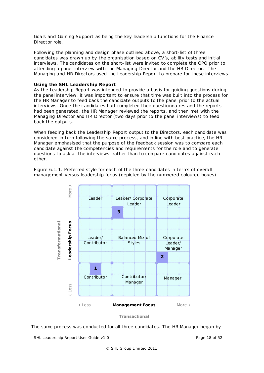Goals and Gaining Support as being the key leadership functions for the Finance Director role.

Following the planning and design phase outlined above, a short-list of three candidates was drawn up by the organisation based on CV's, ability tests and initial interviews. The candidates on the short-list were invited to complete the OPQ prior to attending a panel interview with the Managing Director and the HR Director. The Managing and HR Directors used the Leadership Report to prepare for these interviews.

#### **Using the SHL Leadership Report**

As the Leadership Report was intended to provide a basis for guiding questions during the panel interview, it was important to ensure that time was built into the process for the HR Manager to feed back the candidate outputs to the panel prior to the actual interviews. Once the candidates had completed their questionnaires and the reports had been generated, the HR Manager reviewed the reports, and then met with the Managing Director and HR Director (two days prior to the panel interviews) to feed back the outputs.

When feeding back the Leadership Report output to the Directors, each candidate was considered in turn following the same process, and in line with best practice, the HR Manager emphasised that the purpose of the feedback session was to compare each candidate against the competencies and requirements for the role and to generate questions to ask at the interviews, rather than to compare candidates against each other.

Figure 6.1.1. Preferred style for each of the three candidates in terms of overall management versus leadership focus (depicted by the numbered coloured boxes).



The same process was conducted for all three candidates. The HR Manager began by

SHL Leadership Report User Guide v1.0 **Page 18 of 52** Page 18 of 52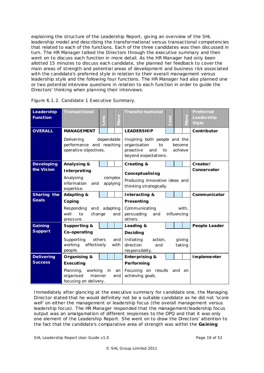explaining the structure of the Leadership Report, giving an overview of the SHL leadership model and describing the transformational versus transactional competencies that related to each of the functions. Each of the three candidates was then discussed in turn. The HR Manager talked the Directors through the executive summary and then went on to discuss each function in more detail. As the HR Manager had only been allotted 15 minutes to discuss each candidate, she planned her feedback to cover the main areas of strength and potential areas of development and business risk associated with the candidate's preferred style in relation to their overall management versus leadership style and the following four functions. The HR Manager had also planned one or two potential interview questions in relation to each function in order to guide the Directors' thinking when planning their interviews.

| Leadership<br><b>Function</b> | <b>Transactional</b>                                            | ess        |          | $\Phi$   | <b>Transformational</b>                                                                               | ess |                   | More   | <b>Preferred</b><br>Leadership<br><b>Style</b> |
|-------------------------------|-----------------------------------------------------------------|------------|----------|----------|-------------------------------------------------------------------------------------------------------|-----|-------------------|--------|------------------------------------------------|
| <b>OVERALL</b>                | <b>MANAGEMENT</b>                                               |            |          |          | <b>LEADERSHIP</b>                                                                                     |     |                   |        | Contributor                                    |
|                               | Delivering<br>performance and reaching<br>operative objectives. | dependable |          |          | Inspiring both people and the<br>organisation<br>to<br>proactive<br>and<br>to<br>beyond expectations. |     | become<br>achieve |        |                                                |
| <b>Developing</b>             | Analysing &                                                     |            |          |          | <b>Creating &amp;</b>                                                                                 |     |                   |        | Creator/                                       |
| the Vision                    | Interpreting                                                    |            |          |          | Conceptualising                                                                                       |     |                   |        | Conservator                                    |
|                               | Analysing                                                       |            | complex  |          | Producing innovative ideas and                                                                        |     |                   |        |                                                |
|                               | information<br>and<br>expertise.                                |            | applying |          | thinking strategically.                                                                               |     |                   |        |                                                |
| Sharing the                   | <b>Adapting &amp;</b>                                           |            |          |          | Interacting &                                                                                         |     |                   |        | Communicator                                   |
| <b>Goals</b>                  | Coping                                                          |            |          |          | Presenting                                                                                            |     |                   |        |                                                |
|                               | Responding<br>and                                               |            |          | adapting | Communicating                                                                                         |     |                   | with,  |                                                |
|                               | well<br>to<br>change<br>pressure.                               |            |          | and      | persuading<br>and<br>others.                                                                          |     | influencing       |        |                                                |
| Gaining                       | Supporting &                                                    |            |          |          | Leading &                                                                                             |     |                   |        | <b>People Leader</b>                           |
| <b>Support</b>                | Co-operating                                                    |            |          |          | Deciding                                                                                              |     |                   |        |                                                |
|                               | Supporting                                                      | others     |          | and      | Initiating<br>action,                                                                                 |     |                   | giving |                                                |
|                               | working<br>effectively                                          |            |          | with     | direction<br>and                                                                                      |     | taking            |        |                                                |
| <b>Delivering</b>             | people.<br>Organising &                                         |            |          |          | responsibility.<br><b>Enterprising &amp;</b>                                                          |     |                   |        | Implementer                                    |
| <b>Success</b>                | Executing                                                       |            |          |          | Performing                                                                                            |     |                   |        |                                                |
|                               | Planning,<br>working                                            |            | in       | an       | Focusing on results and on                                                                            |     |                   |        |                                                |
|                               | organised<br>manner                                             |            |          | and      | achieving goals.                                                                                      |     |                   |        |                                                |
|                               | focusing on delivery.                                           |            |          |          |                                                                                                       |     |                   |        |                                                |

|  | Figure 6.1.2. Candidate 1 Executive Summary. |  |  |
|--|----------------------------------------------|--|--|
|--|----------------------------------------------|--|--|

Immediately after glancing at the executive summary for candidate one, the Managing Director stated that he would definitely not be a suitable candidate as he did not 'score well' on either the management or leadership focus (the overall management versus leadership focus). The HR Manager responded that the management/leadership focus output was an amalgamation of different responses to the OPQ and that it was only one element of the Leadership Report. She went on to draw the Directors' attention to the fact that the candidate's comparative area of strength was within the **Ga ining** 

SHL Leadership Report User Guide v1.0 **Page 19 of 52** Page 19 of 52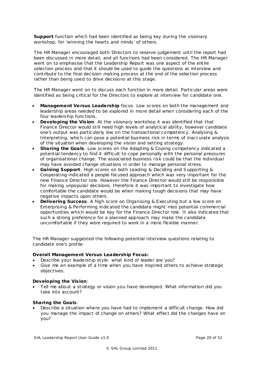**Support** function which had been identified as being key during the visionary workshop, for 'winning the hearts and minds' of others.

The HR Manager encouraged both Directors to reserve judgement until the report had been discussed in more detail, and all functions had been considered. The HR Manager went on to emphasise that the Leadership Report was one aspect of the entire selection process and that it should be used to guide the questions at interview and contribute to the final decision making process at the end of the selection process rather than being used to drive decisions at this stage.

The HR Manager went on to discuss each function in more detail. Particular areas were identified as being critical for the Directors to explore at interview for candidate one.

- **Management Versus Leadership** focus. Low scores on both the management and leadership areas needed to be explored in more detail when considering each of the four leadership functions.
- **Developing the Vis ion**. At the visionary workshop it was identified that that Finance Director would still need high levels of analytical ability, however candidate one's output was particularly low on the transactional competency, Analysing & Interpreting, which can pose a potential business risk in terms of inaccurate analysis of the situation when developing the vision and setting strategy.
- **Sharing the Goals**. Low scores on the Adapting & Coping competency indicated a potential tendency to find it difficult to cope personally with the personal pressures of organisational change. The associated business risk could be that the individual may have avoided change situations in order to manage personal stress.
- **Gaining Support**. High scores on both Leading & Deciding and Supporting & Cooperating indicated a people focused approach which was very important for the new Finance Director role. However the Finance Director would still be responsible for making unpopular decisions, therefore it was important to investigate how comfortable the candidate would be when making tough decisions that may have negative impacts upon others.
- **Delivering Success**. A high score on Organising & Executing but a low score on Enterprising & Performing indicated the candidate might miss potential commercial opportunities which would be key for the Finance Director role. It also indicated that such a strong preference for a planned approach may make the candidate uncomfortable if they were required to work in a more flexible manner.

The HR Manager suggested the following potential interview questions relating to candidate one's profile:

## **Overall Management Versus Leadership Focus:**

- Describe your leadership style: what kind of leader are you?
- Give me an example of a time when you have inspired others to achieve strategic objectives.

## **Developing the Vis ion**:

• Tell me about a strategy or vision you have developed. What information did you take into account?

## **Sharing the Goa ls**:

• Describe a situation where you have had to implement a difficult change. How did you manage the impact of change on others? What effect did the changes have on you?

SHL Leadership Report User Guide v1.0 **Page 20 of 52** Page 20 of 52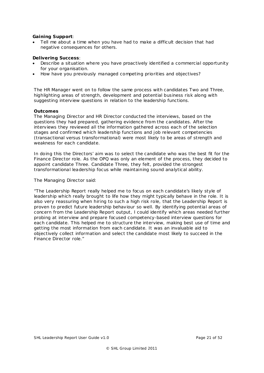## **Gaining Support**:

• Tell me about a time when you have had to make a difficult decision that had negative consequences for others.

## **Delivering Success**:

- Describe a situation where you have proactively identified a commercial opportunity for your organisation.
- How have you previously managed competing priorities and objectives?

The HR Manager went on to follow the same process with candidates Two and Three, highlighting areas of strength, development and potential business risk along with suggesting interview questions in relation to the leadership functions.

#### **Outcomes**

The Managing Director and HR Director conducted the interviews, based on the questions they had prepared, gathering evidence from the candidates. After the interviews they reviewed all the information gathered across each of the selection stages and confirmed which leadership functions and job relevant competencies (transactional versus transformational) were most likely to be areas of strength and weakness for each candidate.

In doing this the Directors' aim was to select the candidate who was the best fit for the Finance Director role. As the OPQ was only an element of the process, they decided to appoint candidate Three. Candidate Three, they felt, provided the strongest transformational leadership focus while maintaining sound analytical ability.

The Managing Director said:

*"The Leadership Report really helped me to focus on each candidate's likely style of leadership which really brought to life how they might typically behave in the role. It is also very reassuring when hiring to such a high risk role, that the Leadership Report is proven to predict future leadership behaviour so well. By identifying potential areas of concern from the Leadership Report output, I could identify which areas needed further probing at interview and prepare focused competency-based interview questions for each candidate. This helped me to structure the interview, making best use of time and getting the most information from each candidate. It was an invaluable aid to objectively collect information and select the candidate most likely to succeed in the Finance Director role."*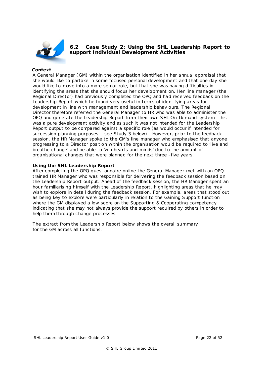

## <span id="page-21-0"></span>**6.2 Case Study 2: Using the SHL Leadership Report to support Individual Development Activities**

## **Context**

A General Manager (GM) within the organisation identified in her annual appraisal that she would like to partake in some focused personal development and that one day she would like to move into a more senior role, but that she was having difficulties in identifying the areas that she should focus her development on. Her line manager (the Regional Director) had previously completed the OPQ and had received feedback on the Leadership Report which he found very useful in terms of identifying areas for development in line with management and leadership behaviours. The Regional Director therefore referred the General Manager to HR who was able to administer the OPQ and generate the Leadership Report from their own SHL On Demand system. This was a pure development activity and as such it was not intended for the Leadership Report output to be compared against a specific role (as would occur if intended for succession planning purposes – see Study 3 below). However, prior to the feedback session, the HR Manager spoke to the GM's line manager who emphasised that anyone progressing to a Director position within the organisation would be required to 'live and breathe change' and be able to 'win hearts and minds' due to the amount of organisational changes that were planned for the next three -five years.

#### **Using the SHL Leadership Report**

After completing the OPQ questionnaire online the General Manager met with an OPQ trained HR Manager who was responsible for delivering the feedback session based on the Leadership Report output. Ahead of the feedback session, the HR Manager spent an hour familiarising himself with the Leadership Report, highlighting areas that he may wish to explore in detail during the feedback session. For example, areas that stood out as being key to explore were particularly in relation to the Gaining Support function where the GM displayed a low score on the Supporting & Cooperating competency indicating that she may not always provide the support required by others in order to help them through change processes.

The extract from the Leadership Report below shows the overall summary for the GM across all functions.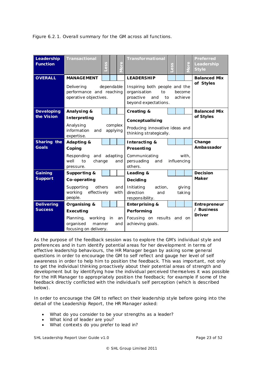Figure 6.2.1. Overall summary for the GM across all functions.

| Leadership<br><b>Function</b> | <b>Transactional</b>                                                          | ess |    | ρ<br>C                                                                       | <b>Transformational</b>                                                                                                    | ess |        | စု<br>$\overline{\circ}$ | Preferred<br>Leadership<br><b>Style</b> |  |  |  |
|-------------------------------|-------------------------------------------------------------------------------|-----|----|------------------------------------------------------------------------------|----------------------------------------------------------------------------------------------------------------------------|-----|--------|--------------------------|-----------------------------------------|--|--|--|
| <b>OVERALL</b>                | <b>MANAGEMENT</b>                                                             |     |    |                                                                              | <b>LEADERSHIP</b>                                                                                                          |     |        |                          | <b>Balanced Mix</b><br>of Styles        |  |  |  |
|                               | Delivering<br>dependable<br>performance and reaching<br>operative objectives. |     |    |                                                                              | Inspiring both people and the<br>organisation<br>to<br>become<br>proactive<br>achieve<br>and<br>to<br>beyond expectations. |     |        |                          |                                         |  |  |  |
| <b>Developing</b>             | Analysing &                                                                   |     |    |                                                                              | <b>Creating &amp;</b>                                                                                                      |     |        |                          | <b>Balanced Mix</b>                     |  |  |  |
| the Vision                    | Interpreting                                                                  |     |    | Conceptualising<br>Producing innovative ideas and<br>thinking strategically. |                                                                                                                            |     |        | of Styles                |                                         |  |  |  |
|                               | Analysing<br>complex<br>information<br>applying<br>and<br>expertise.          |     |    |                                                                              |                                                                                                                            |     |        |                          |                                         |  |  |  |
| Sharing the                   | Adapting &                                                                    |     |    |                                                                              | Interacting &                                                                                                              |     |        |                          | Change                                  |  |  |  |
| <b>Goals</b>                  | Coping                                                                        |     |    | Presenting                                                                   |                                                                                                                            |     |        | Ambassador               |                                         |  |  |  |
|                               | Responding<br>and adapting                                                    |     |    | Communicating<br>with,                                                       |                                                                                                                            |     |        |                          |                                         |  |  |  |
|                               | well<br>to<br>change<br>and<br>pressure.                                      |     |    |                                                                              | persuading<br>influencing<br>and<br>others.                                                                                |     |        |                          |                                         |  |  |  |
| Gaining                       | Supporting &                                                                  |     |    |                                                                              | Leading &                                                                                                                  |     |        |                          | <b>Decision</b>                         |  |  |  |
| <b>Support</b>                | Co-operating                                                                  |     |    |                                                                              | Deciding                                                                                                                   |     |        | <b>Maker</b>             |                                         |  |  |  |
|                               | Supporting<br>others                                                          |     |    | and                                                                          | Initiating<br>action,                                                                                                      |     |        | giving                   |                                         |  |  |  |
|                               | working<br>effectively<br>people.                                             |     |    | with                                                                         | direction<br>and                                                                                                           |     | taking |                          |                                         |  |  |  |
| <b>Delivering</b>             | Organising &                                                                  |     |    |                                                                              | responsibility.<br><b>Enterprising &amp;</b>                                                                               |     |        |                          | Entrepreneur                            |  |  |  |
| <b>Success</b>                | Executing                                                                     |     |    |                                                                              | Performing                                                                                                                 |     |        |                          | / Business                              |  |  |  |
|                               | working<br>Planning,                                                          |     | in | an                                                                           | Focusing on results and on                                                                                                 |     |        |                          | <b>Driver</b>                           |  |  |  |
|                               | organised<br>manner                                                           |     |    | and                                                                          | achieving goals.                                                                                                           |     |        |                          |                                         |  |  |  |
|                               | focusing on delivery.                                                         |     |    |                                                                              |                                                                                                                            |     |        |                          |                                         |  |  |  |

As the purpose of the feedback session was to explore the GM's individual style and preferences and in turn identify potential areas for her development in terms of effective leadership behaviours, the HR Manager began by asking some general questions in order to encourage the GM to self reflect and gauge her level of self awareness in order to help him to position the feedback. This was important, not only to get the individual thinking proactively about their potential areas of strength and development but by identifying how the individual perceived themselves it was possible for the HR Manager to appropriately position the feedback; for example if some of the feedback directly conflicted with the individual's self perception (which is described below).

In order to encourage the GM to reflect on their leadership style before going into the detail of the Leadership Report, the HR Manager asked:

- What do you consider to be your strengths as a leader?
- What kind of leader are you?
- What contexts do you prefer to lead in?

SHL Leadership Report User Guide v1.0 **Page 23 of 52** Page 23 of 52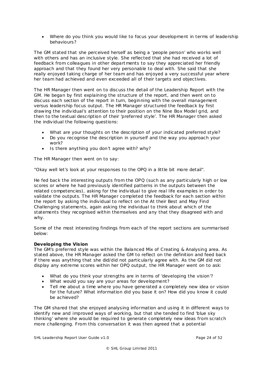• Where do you think you would like to focus your development in terms of leadership behaviours?

The GM stated that she perceived herself as being a 'people person' who works well with others and has an inclusive style. She reflected that she had received a lot of feedback from colleagues in other departments to say they appreciated her friendly approach and that they found her very personable to deal with. She said that she really enjoyed taking charge of her team and has enjoyed a very successful year where her team had achieved and even exceeded all of their targets and objectives.

The HR Manager then went on to discuss the detail of the Leadership Report with the GM. He began by first explaining the structure of the report, and then went on to discuss each section of the report in turn, beginning with the overall management versus leadership focus output. The HR Manager structured the feedback by first drawing the individual's attention to their position on the Nine Box Model grid, and then to the textual description of their 'preferred style'. The HR Manager then asked the individual the following questions:

- What are your thoughts on the description of your indicated preferred style?
- Do you recognise the description in yourself and the way you approach your work?
- Is there anything you don't agree with? why?

The HR Manager then went on to say:

"Okay well let's look at your responses to the OPQ in a little bit more detail".

He fed back the interesting outputs from the OPQ (such as any particularly high or low scores or where he had previously identified patterns in the outputs between the related competencies), asking for the individual to give real life examples in order to validate the outputs. The HR Manager completed the feedback for each section within the report by asking the individual to reflect on the At their Best and May Find Challenging statements, again asking the individual to think about which of the statements they recognised within themselves and any that they disagreed with and why.

Some of the most interesting findings from each of the report sections are summarised below:

## **Developing the Vis ion**

The GM's preferred style was within the Balanced Mix of Creating & Analysing area. As stated above, the HR Manager asked the GM to reflect on the definition and feed back if there was anything that she did/did not particularly agree with. As the GM did not display any extreme scores within her OPQ output, the HR Manager went on to ask:

- What do you think your strengths are in terms of 'developing the vision'?
- What would you say are your areas for development?
- Tell me about a time where you have generated a completely new idea or vision for the future? What information did you base it on? How did you know it could be achieved?

The GM shared that she enjoyed analysing information and using it in different ways to identify new and improved ways of working, but that she tended to find 'blue sky thinking' where she would be required to generate completely new ideas from scratch more challenging. From this conversation it was then agreed that a potential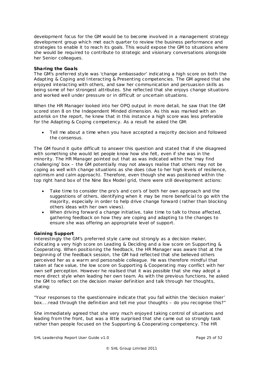development focus for the GM would be to become involved in a management strategy development group which met each quarter to review the business performance and strategies to enable it to reach its goals. This would expose the GM to situations where she would be required to contribute to strategic and visionary conversations alongside her Senior colleagues.

## **Sharing the Goa ls**

The GM's preferred style was 'change ambassador' indicating a high score on both the Adapting & Coping and Interacting & Presenting competencies. The GM agreed that she enjoyed interacting with others, and saw her communication and persuasion skills as being some of her strongest attributes. She reflected that she enjoys change situations and worked well under pressure or in difficult or uncertain situations.

When the HR Manager looked into her OPQ output in more detail, he saw that the GM scored sten 8 on the Independent Minded dimension. As this was marked with an asterisk on the report, he knew that in this instance a high score was less preferable for the Adapting & Coping competency. As a result he asked the GM:

• Tell me about a time when you have accepted a majority decision and followed the consensus.

The GM found it quite difficult to answer this question and stated that if she disagreed with something she would let people know how she felt, even if she was in the minority. The HR Manager pointed out that as was indicated within the 'may find challenging' box – the GM potentially may not always realise that others may not be coping as well with change situations as she does (due to her high levels of resilience, optimism and calm approach). Therefore, even though she was positioned within the top right hand box of the Nine Box Model grid, there were still development actions:

- Take time to consider the pro's and con's of both her own approach and the suggestions of others, identifying when it may be more beneficial to go with the ma jority, especially in order to help drive change forward (rather than blocking others ideas with her own views).
- When driving forward a change initiative, take time to talk to those affected, gathering feedback on how they are coping and adapting to the changes to ensure she was offering an appropriate level of support.

## **Gaining Support**

Interestingly the GM's preferred style came out strongly as a decision maker, indicating a very high score on Leading & Deciding and a low score on Supporting & Cooperating. When positioning the feedback, the HR Manager was aware that at the beginning of the feedback session, the GM had reflected that she believed others perceived her as a warm and personable colleague. He was therefore mindful that taken at face value, the low score on Supporting & Cooperating may conflict with her own self perception. However he realised that it was possible that she may adopt a more direct style when leading her own team. As with the previous functions, he asked the GM to reflect on the decision maker definition and talk through her thoughts, stating:

*"Your responses to the questionnaire indicate that you fall within the 'decision maker' box....read through the definition and tell me your thoughts – do you recognise this?"*

She immediately agreed that she very much enjoyed taking control of situations and leading from the front, but was a little surprised that she came out so strongly task rather than people focused on the Supporting & Cooperating competency. The HR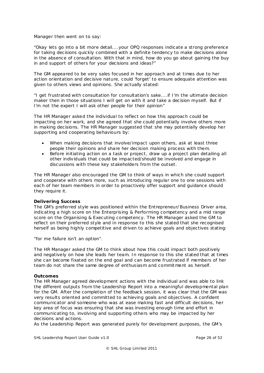Manager then went on to say:

"*Okay lets go into a bit more detail....your OPQ responses indicate a strong preference for taking decisions quickly combined with a definite tendency to make decisions alone in the absence of consultation. With that in mind, how do you go about gaining the buy in and support of others for your decisions and ideas?"*

The GM appeared to be very sales focused in her approach and at times due to her action orientation and decisive nature, could 'forget' to ensure adequate attention was given to others views and opinions. She actually stated:

*"I get frustrated with consultation for consultation's sake....if I'm the ultimate decision maker then in those situations I will get on with it and take a decision myself. But if I'm not the expert I will ask other people for their opinion"*

The HR Manager asked the individual to reflect on how this approach could be impacting on her work, and she agreed that she could potentially involve others more in making decisions. The HR Manager suggested that she may potentially develop her supporting and cooperating behaviours by:

- When making decisions that involve/impact upon others, ask at least three people their opinions and share her decision making process with them.
- Before initiating action on a task or project, draw up a project plan detailing all other individuals that could be impacted/should be involved and engage in discussions with these key stakeholders from the outset.

The HR Manager also encouraged the GM to think of ways in which she could support and cooperate with others more, such as introducing regular one to one sessions with each of her team members in order to proactively offer support and guidance should they require it.

## **Delivering Success**

The GM's preferred style was positioned within the Entrepreneur/Business Driver area, indicating a high score on the Enterprising & Performing competency and a mid range score on the Organising & Executing competency. The HR Manager asked the GM to reflect on their preferred style and in response to this she stated that she recognised herself as being highly competitive and driven to achieve goals and objectives stating:

*"for me failure isn't an option".*

The HR Manager asked the GM to think about how this could impact both positively and negatively on how she leads her team. In response to this she stated that at times she can become fixated on the end goal and can become frustrated if members of her team do not share the same degree of enthusiasm and commitment as herself.

## **Outcomes**

The HR Manager agreed development actions with the individual and was able to link the different outputs from the Leadership Report into a meaningful developmental plan for the GM. After the completion of the feedback session, it was clear that the GM was very results oriented and committed to achieving goals and objectives. A confident communicator and someone who was at ease making fast and difficult decisions, her key area of focus was ensuring that she was investing enough time and effort in communicating to, involving and supporting others who may be impacted by her decisions and actions.

As the Leadership Report was generated purely for development purposes, the GM's

SHL Leadership Report User Guide v1.0 **Page 26 of 52** Page 26 of 52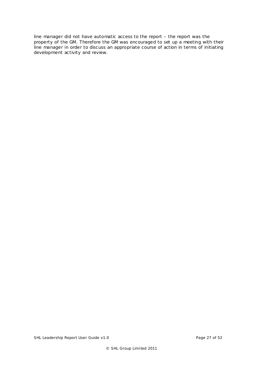line manager did not have automatic access to the report – the report was the property of the GM. Therefore the GM was encouraged to set up a meeting with their line manager in order to discuss an appropriate course of action in terms of initiating development activity and review.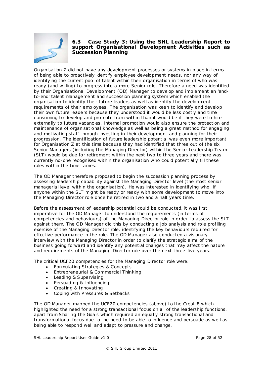<span id="page-27-1"></span>

## <span id="page-27-0"></span>**6.3 Case Study 3: Using the SHL Leadership Report to support Organisational Development Activities such as Succession Planning**

Organisation Z did not have any development processes or systems in place in terms of being able to proactively identify employee development needs, nor any way of identifying the current pool of talent within their organisation in terms of who was ready (and willing) to progress into a more Senior role. Therefore a need was identified by their Organisational Development (OD) Manager to develop and implement an 'endto-end' talent management and succession planning system which enabled the organisation to identify their future leaders as well as identify the development requirements of their employees. The organisation was keen to identify and develop their own future leaders because they understood it would be less costly and time consuming to develop and promote from within than it would be if they were to hire externally to future vacancies. Internal promotion would also ensure the protection and maintenance of organisational knowledge as well as being a great method for engaging and motivating staff through investing in their development and planning for their progression. The identification of future leadership potential was even more important for Organisation Z at this time because they had identified that three out of the six Senior Managers (including the Managing Director) within the Senior Leadership Team (SLT) would be due for retirement within the next two to three years and there was currently no-one recognised within the organisation who could potentially fill these roles within the timeframes.

The OD Manager therefore proposed to begin the succession planning process by assessing leadership capability against the Managing Director level (the most senior managerial level within the organisation). He was interested in identifying who, if anyone within the SLT might be ready or ready with some development to move into the Managing Director role once he retired in two and a half years time.

Before the assessment of leadership potential could be conducted, it was first imperative for the OD Manager to understand the requirements (in terms of competencies and behaviours) of the Managing Director role in order to assess the SLT against them. The OD Manager did this by conducting a job analysis and role profiling exercise of the Managing Director role, identifying the key behaviours required for effective performance in the role. The OD Manager also conducted a visionary interview with the Managing Director in order to clarify the strategic aims of the business going forward and identify any potential changes that may affect the nature and requirements of the Managing Director role over the next three-five years.

The critical UCF20 competencies for the Managing Director role were:

- Formulating Strategies & Concepts
- Entrepreneurial & Commercial Thinking
- Leading & Supervising
- Persuading & Influencing
- Creating & Innovating
- Coping with Pressures & Setbacks

The OD Manager mapped the UCF20 competencies (above) to the Great 8 which highlighted the need for a strong transactional focus on all of the leadership functions, apart from Sharing the Goals which required an equally strong transactional and transformational focus due to the need to be able to influence and persuade as well as being able to respond well and adapt to pressure and change.

SHL Leadership Report User Guide v1.0 **Page 28 of 52** Page 28 of 52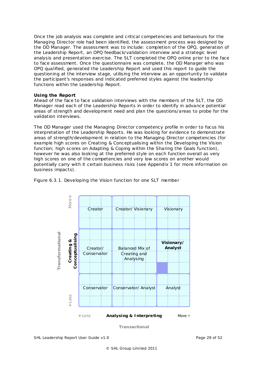Once the job analysis was complete and critical competencies and behaviours for the Managing Director role had been identified, the assessment process was designed by the OD Manager. The assessment was to include: completion of the OPQ, generation of the Leadership Report, an OPQ feedback/validation interview and a strategic level analysis and presentation exercise. The SLT completed the OPQ online prior to the face to face assessment. Once the questionnaire was complete, the OD Manager who was OPQ qualified, generated the Leadership Report and used this report to guide the questioning at the interview stage, utilising the interview as an opportunity to validate the participant's responses and indicated preferred styles against the leadership functions within the Leadership Report.

#### **Using the Report**

Ahead of the face to face validation interviews with the members of the SLT, the OD Manager read each of the Leadership Reports in order to identify in advance potential areas of strength and development need and plan the questions/areas to probe for the validation interviews.

The OD Manager used the Managing Director competency profile in order to focus his interpretation of the Leadership Reports. He was looking for evidence to demonstrate areas of strength/development in relation to the Managing Director competencies (for example high scores on Creating & Conceptualising within the Developing the Vision function; high scores on Adapting & Coping within the Sharing the Goals function), however he was also looking at the preferred style on each function overall as very high scores on one of the competencies and very low scores on another would potentially carry with it certain business risks (see Appendix 1 for more information on business impacts).



Figure 6.3.1. Developing the Vision function for one SLT member

*Transactional*

SHL Leadership Report User Guide v1.0 **Page 29 of 52** Page 29 of 52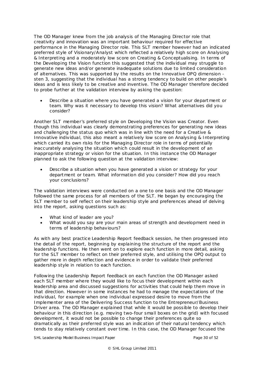The OD Manager knew from the job analysis of the Managing Director role that creativity and innovation was an important behaviour required for effective performance in the Managing Director role. This SLT member however had an indicated preferred style of Visionary/Analyst which reflected a relatively high score on Analysing & Interpreting and a moderately low score on Creating & Conceptualising. In terms of the Developing the Vision function this suggested that the individual may struggle to generate new ideas and/or generate inadequate solutions due to limited consideration of alternatives. This was supported by the results on the Innovative OPQ dimension sten 3, suggesting that the individual has a strong tendency to build on other people's ideas and is less likely to be creative and inventive. The OD Manager therefore decided to probe further at the validation interview by asking the question:

• Describe a situation where you have generated a vision for your department or team. Why was it necessary to develop this vision? What alternatives did you consider?

Another SLT member's preferred style on Developing the Vision was Creator. Even though this individual was clearly demonstrating preferences for generating new ideas and challenging the status quo which was in line with the need for a Creative & Innovative individual, this also meant a relatively low score on Analysing & Interpreting which carried its own risks for the Managing Director role in terms of potentially inaccurately analysing the situation which could result in the development of an inappropriate strategy or vision for the situation. In this instance the OD Manager planned to ask the following question at the validation interview:

• Describe a situation when you have generated a vision or strategy for your department or team. What information did you consider? How did you reach your conclusions?

The validation interviews were conducted on a one to one basis and the OD Manager followed the same process for all members of the SLT. He began by encouraging the SLT member to self reflect on their leadership style and preferences ahead of delving into the report, asking questions such as:

- What kind of leader are you?
- What would you say are your main areas of strength and development need in terms of leadership behaviours?

As with any best practice Leadership Report feedback session, he then progressed into the detail of the report, beginning by explaining the structure of the report and the leadership functions. He then went on to explore each function in more detail, asking for the SLT member to reflect on their preferred style, and utilising the OPQ output to gather more in depth reflection and evidence in order to validate their preferred leadership style in relation to each function.

Following the Leadership Report feedback on each function the OD Manager asked each SLT member where they would like to focus their development within each leadership area and discussed suggestions for activities that could help them move in that direction. However in some instances he had to manage the expectations of the individual, for example when one individual expressed desire to move from the Implementer area of the Delivering Success function to the Entrepreneur/Business Driver area. The OD Manager explained that while it would be possible to develop their behaviour in this direction (e.g. moving two-four small boxes on the grid) with focused development, it would not be possible to change their preferences quite so dramatically as their preferred style was an indication of their natural tendency which tends to stay relatively constant over time. In this case, the OD Manager focused the

SHL Leadership Model Business Impact Paper **Page 30 of 52** and Page 30 of 52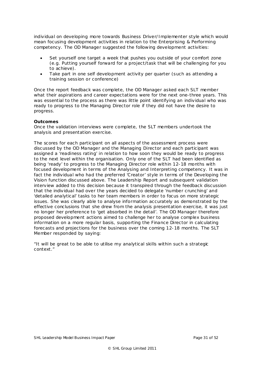individual on developing more towards Business Driver/Implementer style which would mean focusing development activities in relation to the Enterprising & Performing competency. The OD Manager suggested the following development activities:

- Set yourself one target a week that pushes you outside of your comfort zone (e.g. Putting yourself forward for a project/task that will be challenging for you to achieve).
- Take part in one self development activity per quarter (such as attending a training session or conference)

Once the report feedback was complete, the OD Manager asked each SLT member what their aspirations and career expectations were for the next one-three years. This was essential to the process as there was little point identifying an individual who was ready to progress to the Managing Director role if they did not have the desire to progress.

## **Outcomes**

Once the validation interviews were complete, the SLT members undertook the analysis and presentation exercise.

The scores for each participant on all aspects of the assessment process were discussed by the OD Manager and the Managing Director and each participant was assigned a 'readiness rating' in relation to how soon they would be ready to progress to the next level within the organisation. Only one of the SLT had been identified as being 'ready' to progress to the Managing Director role within 12-18 months with focused development in terms of the Analysing and Interpreting competency. It was in fact the individual who had the preferred 'Creator' style in terms of the Developing the Vision function discussed above. The Leadership Report and subsequent validation interview added to this decision because it transpired through the feedback discussion that the individual had over the years decided to delegate 'number crunching' and 'detailed analytical' tasks to her team members in order to focus on more strategic issues. She was clearly able to analyse information accurately as demonstrated by the effective conclusions that she drew from the analysis presentation exercise, it was just no longer her preference to 'get absorbed in the detail'. The OD Manager therefore proposed development actions aimed to challenge her to analyse complex business information on a more regular basis, supporting the Finance Director in calculating forecasts and projections for the business over the coming 12-18 months. The SLT Member responded by saying:

*"It will be great to be able to utilise my analytical skills within such a strategic context."*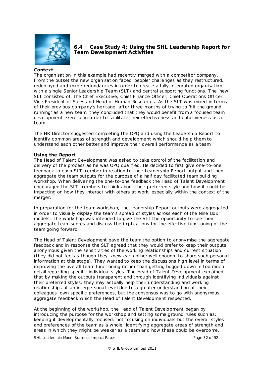

## <span id="page-31-0"></span>**6.4 Case Study 4: Using the SHL Leadership Report for Team Development Activities**

#### **Context**

The organisation in this example had recently merged with a competitor company. From the outset the new organisation faced 'people' challenges as they restructured, redeployed and made redundancies in order to create a fully integrated organisation with a single Senior Leadership Team (SLT) and central supporting functions. The 'new' SLT consisted of: the Chief Executive, Chief Finance Officer, Chief Operations Officer, Vice President of Sales and Head of Human Resources. As the SLT was mixed in terms of their previous company's heritage, after three months of trying to 'hit the ground running' as a new team, they concluded that they would benefit from a focused team development exercise in order to facilitate their effectiveness and cohesiveness as a team.

The HR Director suggested completing the OPQ and using the Leadership Report to identify common areas of strength and development which should help them to understand each other better and improve their overall performance as a team.

#### **Using the Report**

The Head of Talent Development was asked to take control of the facilitation and delivery of the process as he was OPQ qualified. He decided to first give one-to-one feedback to each SLT member in relation to their Leadership Report output and then aggregate the team outputs for the purpose of a half day facilitated team building workshop. When delivering the one-to-one feedback the Head of Talent Development encouraged the SLT members to think about their preferred style and how it could be impacting on how they interact with others at work, especially within the context of the merger.

In preparation for the team workshop, the Leadership Report outputs were aggregated in order to visually display the team's spread of styles across each of the Nine Box models. The workshop was intended to give the SLT the opportunity to see their aggregate team scores and discuss the implications for the effective functioning of the team going forward.

The Head of Talent Development gave the team the option to anonymise the aggregate feedback and in response the SLT agreed that they would prefer to keep their outputs anonymous given the sensitivities of the working relationships and current situation (they did not feel as though they 'knew each other well enough' to share such personal information at this stage). They wanted to keep the discussions high level in terms of improving the overall team functioning rather than getting bogged down in too much detail regarding specific individual styles. The Head of Talent Development explained that by making the outputs transparent and through identifying individuals against their preferred styles, they may actually help their understanding and working relationships at an interpersonal level due to a greater understanding of their colleagues' own specific preferences, but the consensus was to go with anonymous aggregate feedback which the Head of Talent Development respected.

At the beginning of the workshop, the Head of Talent Development began by introducing the purpose for the workshop and setting some ground rules such as: keeping it developmentally focused; not focusing on individuals but the overall styles and preferences of the team as a whole; identifying aggregate areas of strength and areas in which they might be weaker as a team and how these could be overcome.

SHL Leadership Model Business Impact Paper **Page 32 of 52** and Page 32 of 52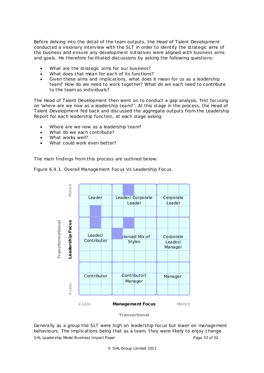Before delving into the detail of the team outputs, the Head of Talent Development conducted a visionary interview with the SLT in order to identify the strategic aims of the business and ensure any development initiatives were aligned with business aims and goals. He therefore facilitated discussions by asking the following questions:

- What are the strategic aims for our business?
- What does that mean for each of its functions?
- Given these aims and implications, what does it mean for us as a leadership team? How do we need to work together? What do we each need to contribute to the team as individuals?

The Head of Talent Development then went on to conduct a gap analysis, first focusing on 'where are we now as a leadership team?'. At this stage in the process, the Head of Talent Development fed back and discussed the aggregate outputs from the Leadership Report for each leadership function, at each stage asking:

- Where are we now as a leadership team?
- What do we each contribute?
- What works well?
- What could work even better?

The main findings from this process are outlined below:

Figure 6.4.1. Overall Management Focus Vs Leadership Focus.



*Transactional*

SHL Leadership Model Business Impact Paper **Page 33** of 52 Generally as a group the SLT were high on leadership focus but lower on management behaviours. The implications being that as a team, they were likely to enjoy change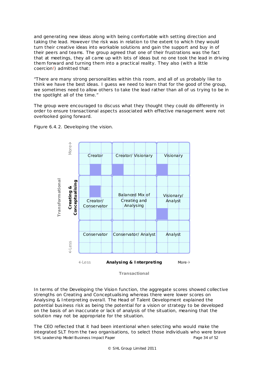and generating new ideas along with being comfortable with setting direction and taking the lead. However the risk was in relation to the extent to which they would turn their creative ideas into workable solutions and gain the support and buy in of their peers and teams. The group agreed that one of their frustrations was the fact that at meetings, they all came up with lots of ideas but no one took the lead in driving them forward and turning them into a practical reality. They also (with a little coercion!) admitted that:

*"There are many strong personalities within this room, and all of us probably like to think we have the best ideas. I guess we need to learn that for the good of the group, we sometimes need to allow others to take the lead rather than all of us trying to be in the spotlight all of the time."*

The group were encouraged to discuss what they thought they could do differently in order to ensure transactional aspects associated with effective management were not overlooked going forward.



Figure 6.4.2. Developing the vision.

*Transactional*

In terms of the Developing the Vision function, the aggregate scores showed collective strengths on Creating and Conceptualising whereas there were lower scores on Analysing & Interpreting overall. The Head of Talent Development explained the potential business risk as being the potential for a vision or strategy to be developed on the basis of an inaccurate or lack of analysis of the situation, meaning that the solution may not be appropriate for the situation.

SHL Leadership Model Business Impact Paper **Page 34 of 52** and Page 34 of 52 The CEO reflected that it had been intentional when selecting who would make the integrated SLT from the two organisations, to select those individuals who were brave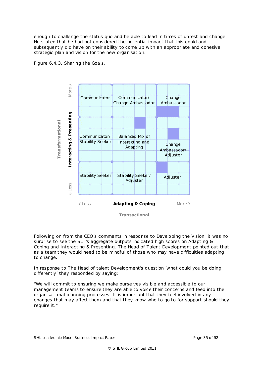enough to challenge the status quo and be able to lead in times of unrest and change. He stated that he had not considered the potential impact that this could and subsequently did have on their ability to come up with an appropriate and cohesive strategic plan and vision for the new organisation.





Following on from the CEO's comments in response to Developing the Vision, it was no surprise to see the SLT's aggregate outputs indicated high scores on Adapting & Coping and Interacting & Presenting. The Head of Talent Development pointed out that as a team they would need to be mindful of those who may have difficulties adapting to change.

In response to The Head of talent Development's question 'what could you be doing differently' they responded by saying:

*"We will commit to ensuring we make ourselves visible and accessible to our management teams to ensure they are able to voice their concerns and feed into the organisational planning processes. It is important that they feel involved in any changes that may affect them and that they know who to go to for support should they require it."*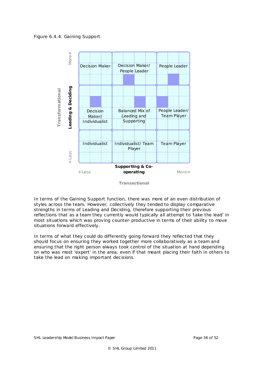Figure 6.4.4. Gaining Support.



*Transactional*

In terms of the Gaining Support function, there was more of an even distribution of styles across the team. However, collectively they tended to display comparative strengths in terms of Leading and Deciding, therefore supporting their previous reflections that as a team they currently would typically all attempt to 'take the lead' in most situations which was proving counter-productive in terms of their ability to move situations forward effectively.

In terms of what they could do differently going forward they reflected that they should focus on ensuring they worked together more collaboratively as a team and ensuring that the right person always took control of the situation at hand depending on who was most 'expert' in the area, even if that meant placing their faith in others to take the lead on making important decisions.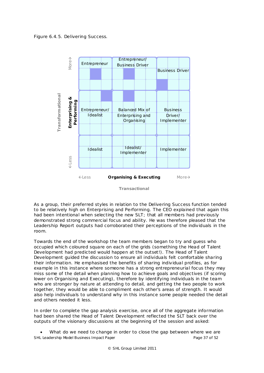Figure 6.4.5. Delivering Success.



*Transactional*

As a group, their preferred styles in relation to the Delivering Success function tended to be relatively high on Enterprising and Performing. The CEO explained that again this had been intentional when selecting the new SLT; that all members had previously demonstrated strong commercial focus and ability. He was therefore pleased that the Leadership Report outputs had corroborated their perceptions of the individuals in the room.

Towards the end of the workshop the team members began to try and guess who occupied which coloured square on each of the grids (something the Head of Talent Development had predicted would happen at the outset!). The Head of Talent Development guided the discussion to ensure all individuals felt comfortable sharing their information. He emphasised the benefits of sharing individual profiles, as for example in this instance where someone has a strong entrepreneurial focus they may miss some of the detail when planning how to achieve goals and objectives (if scoring lower on Organising and Executing), therefore by identifying individuals in the team who are stronger by nature at attending to detail, and getting the two people to work together, they would be able to compliment each other's areas of strength. It would also help individuals to understand why in this instance some people needed the detail and others needed it less.

In order to complete the gap analysis exercise, once all of the aggregate information had been shared the Head of Talent Development reflected the SLT back over the outputs of the visionary discussions at the beginning of the session and asked:

SHL Leadership Model Business Impact Paper **Page 37** of 52 What do we need to change in order to close the gap between where we are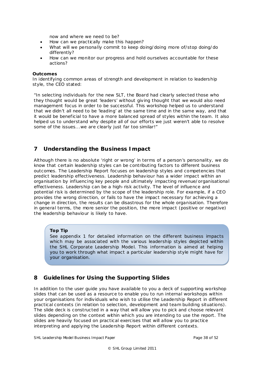now and where we need to be?

- How can we practically make this happen?
- What will we personally commit to keep doing/doing more of/stop doing/do differently?
- How can we monitor our progress and hold ourselves accountable for these actions?

#### **Outcomes**

In identifying common areas of strength and development in relation to leadership style, the CEO stated:

*"In selecting individuals for the new SLT, the Board had clearly selected those who they thought would be great 'leaders' without giving thought that we would also need management focus in order to be successful. This workshop helped us to understand that we didn't all need to be 'leading' at the same time and in the same way, and that it would be beneficial to have a more balanced spread of styles within the team. It also helped us to understand why despite all of our efforts we just weren't able to resolve some of the issues...we are clearly just far too similar!"*

## <span id="page-37-0"></span>**7 Understanding the Business Impact**

Although there is no absolute 'right or wrong' in terms of a person's personality, we do know that certain leadership styles can be contributing factors to different business outcomes. The Leadership Report focuses on leadership styles and competencies that predict leadership effectiveness. Leadership behaviour has a wider impact within an organisation by influencing key people and ultimately impacting revenue/organisational effectiveness. Leadership can be a high-risk activity. The level of influence and potential risk is determined by the scope of the leadership role. For example, if a CEO provides the wrong direction, or fails to have the impact necessary for achieving a change in direction, the results can be disastrous for the whole organisation. Therefore in general terms, the more senior the position, the more impact (positive or negative) the leadership behaviour is likely to have.

#### *Top Tip*

*See appendix 1 for detailed information on the different business impacts which may be associated with the various leadership styles depicted within the SHL Corporate Leadership Model. This information is aimed at helping you to work through what impact a particular leadership style might have for your organisation.*

# <span id="page-37-1"></span>**8 Guide lines for Using the Supporting Slides**

In addition to the user guide you have available to you a deck of supporting workshop slides that can be used as a resource to enable you to run internal workshops within your organisations for individuals who wish to utilise the Leadership Report in different practical contexts (in relation to selection, development and team building situations). The slide deck is constructed in a way that will allow you to pick and choose relevant slides depending on the context within which you are intending to use the report. The slides are heavily focused on practical exercises that will allow you to practice interpreting and applying the Leadership Report within different contexts.

SHL Leadership Model Business Impact Paper **Page 38** of 52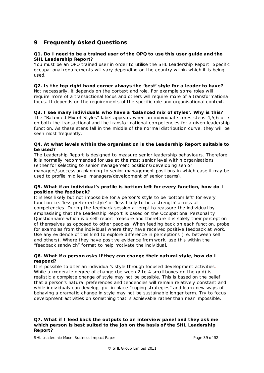# <span id="page-38-0"></span>**9 Frequently Asked Questions**

## **Q1. Do I need to be a trained user of the OPQ to use this user guide and the SHL Leadership Report?**

You must be an OPQ trained user in order to utilise the SHL Leadership Report. Specific occupational requirements will vary depending on the country within which it is being used.

## **Q2. Is the top right hand corner always the 'best' style for a leader to have?**

Not necessarily, it depends on the context and role. For example some roles will require more of a transactional focus and others will require more of a transformational focus. It depends on the requirements of the specific role and organisational context.

## **Q3. I see many individuals who have a 'balanced mix of styles'. Why is this?** The "Balanced Mix of Styles" label appears when an individual scores stens 4,5,6 or 7 on both the transactional and the transformational competencies for a given leadership function. As these stens fall in the middle of the normal distribution curve, they will be seen most frequently.

## **Q4. At what levels within the organisation is the Leadership Report suitable to be used?**

The Leadership Report is designed to measure senior leadership behaviours. Therefore it is normally recommended for use at the most senior level within organisations (either for selecting to senior management positions/developing senior managers/succession planning to senior management positions in which case it may be used to profile mid level managers/development of senior teams).

## **Q5. What if an individua l's profile is bottom left for every function, how do I position the feedback?**

It is less likely but not impossible for a person's style to be 'bottom left' for every function i.e. 'less preferred style' or 'less likely to be a strength' across all competencies. During the feedback session attempt to reassure the individual by emphasising that the Leadership Report is based on the Occupational Personality Questionnaire which is a self-report measure and therefore it is solely their perception of themselves as opposed to other peoples. When feeding back on each function, probe for examples from the individual where they have received positive feedback at work. Use any evidence of this kind to explore difference in perceptions (i.e. between self and others). Where they have positive evidence from work, use this within the "feedback sandwich" format to help motivate the individual.

## **Q6. What if a person asks if they can change their natura l sty le, how do I respond?**

It is possible to alter an individual's style through focused development activities. While a moderate degree of change (between 2 to 4 small boxes on the grid) is realistic a complete change of style may not be possible. This is based on the belief that a person's natural preferences and tendencies will remain relatively constant and while individuals can develop, put in place "coping strategies" and learn new ways of behaving a dramatic change in style may not be sustainable longer term. Try to focus development activities on something that is achievable rather than near impossible.

## **Q7. What if I feed back the outputs to an interview panel and they ask me which person is best suited to the job on the bas is of the SHL Leadership Report?**

SHL Leadership Model Business Impact Paper **Page 39** of 52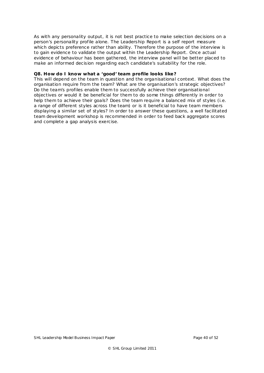As with any personality output, it is not best practice to make selection decisions on a person's personality profile alone. The Leadership Report is a self report measure which depicts preference rather than ability. Therefore the purpose of the interview is to gain evidence to validate the output within the Leadership Report. Once actual evidence of behaviour has been gathered, the interview panel will be better placed to make an informed decision regarding each candidate's suitability for the role.

#### **Q8. How do I know what a 'good' team profile looks like?**

This will depend on the team in question and the organisational context. What does the organisation require from the team? What are the organisation's strategic objectives? Do the team's profiles enable them to successfully achieve their organisational objectives or would it be beneficial for them to do some things differently in order to help them to achieve their goals? Does the team require a balanced mix of styles (i.e. a range of different styles across the team) or is it beneficial to have team members displaying a similar set of styles? In order to answer these questions, a well facilitated team development workshop is recommended in order to feed back aggregate scores and complete a gap analysis exercise.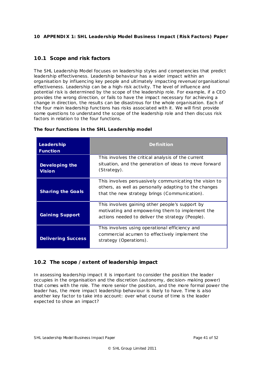## <span id="page-40-0"></span>**10 APPENDIX 1: SHL Leadership Model Bus iness Impact (Risk Factors) Paper**

## <span id="page-40-1"></span>**10.1 Scope and risk factors**

The SHL Leadership Model focuses on leadership styles and competencies that predict leadership effectiveness. Leadership behaviour has a wider impact within an organisation by influencing key people and ultimately impacting revenue/organisational effectiveness. Leadership can be a high-risk activity. The level of influence and potential risk is determined by the scope of the leadership role. For example, if a CEO provides the wrong direction, or fails to have the impact necessary for achieving a change in direction, the results can be disastrous for the whole organisation. Each of the four main leadership functions has risks associated with it. We will first provide some questions to understand the scope of the leadership role and then discuss risk factors in relation to the four functions.

| <b>Leadership</b><br><b>Function</b> | <b>Definition</b>                                                                                                                                                |  |  |  |  |  |
|--------------------------------------|------------------------------------------------------------------------------------------------------------------------------------------------------------------|--|--|--|--|--|
| Developing the<br><b>Vision</b>      | This involves the critical analysis of the current<br>situation, and the generation of ideas to move forward<br>(Strategy).                                      |  |  |  |  |  |
| <b>Sharing the Goals</b>             | This involves persuasively communicating the vision to<br>others, as well as personally adapting to the changes<br>that the new strategy brings (Communication). |  |  |  |  |  |
| <b>Gaining Support</b>               | This involves gaining other people's support by<br>motivating and empowering them to implement the<br>actions needed to deliver the strategy (People).           |  |  |  |  |  |
| <b>Delivering Success</b>            | This involves using operational efficiency and<br>commercial acumen to effectively implement the<br>strategy (Operations).                                       |  |  |  |  |  |

## **The four functions in the SHL Leadership model**

# <span id="page-40-2"></span>**10.2 The scope /extent of leadership impact**

In assessing leadership impact it is important to consider the position the leader occupies in the organisation and the discretion (autonomy, decision-making power) that comes with the role. The more senior the position, and the more formal power the leader has, the more impact leadership behaviour is likely to have. Time is also another key factor to take into account: over what course of time is the leader expected to show an impact?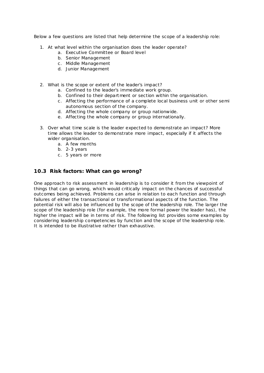Below a few questions are listed that help determine the scope of a leadership role:

- 1. At what level within the organisation does the leader operate?
	- a. Executive Committee or Board level
	- b. Senior Management
	- c . Middle Management
	- d. Junior Management
- 2. What is the scope or extent of the leader's impact?
	- a. Confined to the leader's immediate work group.
	- b. Confined to their department or section within the organisation.
	- c . Affecting the performance of a complete local business unit or other semi autonomous section of the company.
	- d. Affecting the whole company or group nationwide.
	- e. Affecting the whole company or group internationally.
- 3. Over what time scale is the leader expected to demonstrate an impact? More time allows the leader to demonstrate more impact, especially if it affects the wider organisation.
	- a. A few months
	- b. 2-3 years
	- c . 5 years or more

## <span id="page-41-0"></span>**10.3 Risk factors: What can go wrong?**

One approach to risk assessment in leadership is to consider it from the viewpoint of things that can go wrong, which would critically impact on the chances of successful outcomes being achieved. Problems can arise in relation to each function and through failures of either the transactional or transformational aspects of the function. The potential risk will also be influenced by the scope of the leadership role. The larger the scope of the leadership role (for example, the more formal power the leader has), the higher the impact will be in terms of risk. The following list provides some examples by considering leadership competencies by function and the scope of the leadership role. It is intended to be illustrative rather than exhaustive.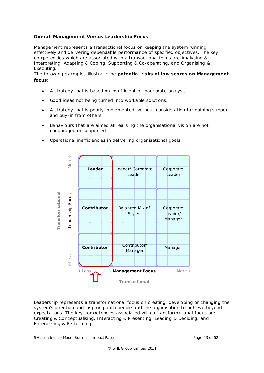## **Overall Management Versus Leadership Focus**

Management represents a transactional focus on keeping the system running effectively and delivering dependable performance of specified objectives. The key competencies which are associated with a transactional focus are Analysing & Interpreting, Adapting & Coping, Supporting & Co-operating, and Organising & Executing.

The following examples illustrate the **potentia l risks of low scores on Management focus**:

- A strategy that is based on insufficient or inaccurate analysis.
- Good ideas not being turned into workable solutions.
- A strategy that is poorly implemented, without consideration for gaining support and buy-in from others.
- Behaviours that are aimed at realising the organisational vision are not encouraged or supported.
- Operational inefficiencies in delivering organisational goals.



Leadership represents a transformational focus on creating, developing or changing the system's direction and inspiring both people and the organisation to achieve beyond expectations. The key competencies associated with a transformational focus are: Creating & Conceptualising, Interacting & Presenting, Leading & Deciding, and Enterprising & Performing.

SHL Leadership Model Business Impact Paper **Page 43 of 52** and Page 43 of 52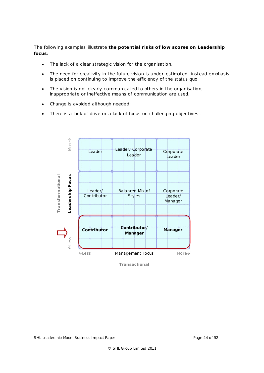The following examples illustrate **the potential risks of low scores on Leadership focus**:

- The lack of a clear strategic vision for the organisation.
- The need for creativity in the future vision is under-estimated, instead emphasis is placed on continuing to improve the efficiency of the status quo.
- The vision is not clearly communicated to others in the organisation, inappropriate or ineffective means of communication are used.
- Change is avoided although needed.
- There is a lack of drive or a lack of focus on challenging objectives.



*Transactional*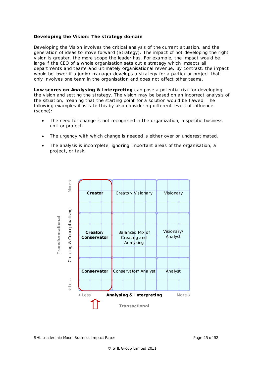## **Developing the Vis ion: The strategy domain**

Developing the Vision involves the critical analysis of the current situation, and the generation of ideas to move forward (Strategy). The impact of not developing the right vision is greater, the more scope the leader has. For example, the impact would be large if the CEO of a whole organisation sets out a strategy which impacts all departments and teams and ultimately organisational revenue. By contrast, the impact would be lower if a junior manager develops a strategy for a particular project that only involves one team in the organisation and does not affect other teams.

**Low scores on** *Ana lysing & Interpreting* can pose a potential risk for developing the vision and setting the strategy. The vision may be based on an incorrect analysis of the situation, meaning that the starting point for a solution would be flawed. The following examples illustrate this by also considering different levels of influence (scope):

- The need for change is not recognised in the organization, a specific business unit or project.
- The urgency with which change is needed is either over or underestimated.
- The analysis is incomplete, ignoring important areas of the organisation, a project, or task.



SHL Leadership Model Business Impact Paper **Page 45** of 52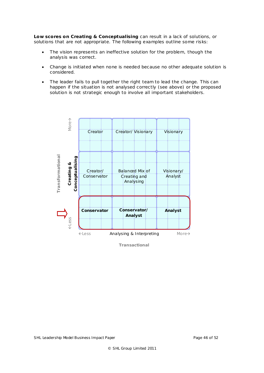**Low scores on** *Creating & Conceptualising* can result in a lack of solutions, or solutions that are not appropriate. The following examples outline some risks:

- The vision represents an ineffective solution for the problem, though the analysis was correct.
- Change is initiated when none is needed because no other adequate solution is considered.
- The leader fails to pull together the right team to lead the change. This can happen if the situation is not analysed correctly (see above) or the proposed solution is not strategic enough to involve all important stakeholders.



*Transactional*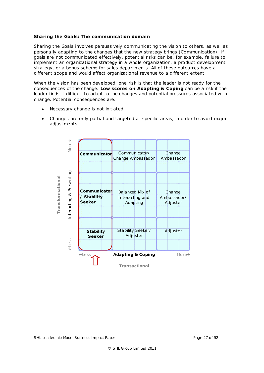## **Sharing the Goa ls: The communication domain**

Sharing the Goals involves persuasively communicating the vision to others, as well as personally adapting to the changes that the new strategy brings (Communication). If goals are not communicated effectively, potential risks can be, for example, failure to implement an organizational strategy in a whole organization, a product development strategy, or a bonus scheme for sales departments. All of these outcomes have a different scope and would affect organizational revenue to a different extent.

When the vision has been developed, one risk is that the leader is not ready for the consequences of the change. **Low scores on** *Adapting & Coping* can be a risk if the leader finds it difficult to adapt to the changes and potential pressures associated with change. Potential consequences are:

- Necessary change is not initiated.
- Changes are only partial and targeted at specific areas, in order to avoid ma jor adjustments.

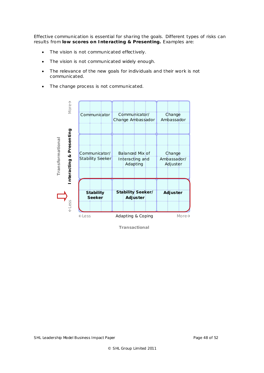Effective communication is essential for sharing the goals. Different types of risks can results from **low scores on** *Interacting & Presenting.* Examples are:

- The vision is not communicated effectively.
- The vision is not communicated widely enough.
- The relevance of the new goals for individuals and their work is not communicated.
- The change process is not communicated.



*Transactional*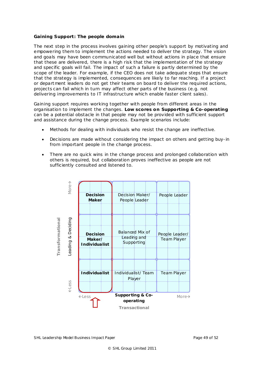#### **Gaining Support: The people doma in**

The next step in the process involves gaining other people's support by motivating and empowering them to implement the actions needed to deliver the strategy. The vision and goals may have been communicated well but without actions in place that ensure that these are delivered, there is a high risk that the implementation of the strategy and specific goals will fail. The impact of such a failure is partly determined by the scope of the leader. For example, if the CEO does not take adequate steps that ensure that the strategy is implemented, consequences are likely to far reaching. If a project or department leaders do not get their teams on board to deliver the required actions, projects can fail which in turn may affect other parts of the business (e.g. not delivering improvements to IT infrastructure which enable faster client sales).

Gaining support requires working together with people from different areas in the organisation to implement the changes. **Low scores on** *Supporting & Co-operating* can be a potential obstacle in that people may not be provided with sufficient support and assistance during the change process. Example scenarios include:

- Methods for dealing with individuals who resist the change are ineffective.
- Decisions are made without considering the impact on others and getting buy-in from important people in the change process.
- There are no quick wins in the change process and prolonged collaboration with others is required, but collaboration proves ineffective as people are not sufficiently consulted and listened to.

![](_page_48_Figure_6.jpeg)

SHL Leadership Model Business Impact Paper **Page 49** of 52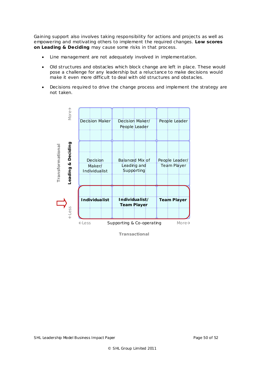Gaining support also involves taking responsibility for actions and projects as well as empowering and motivating others to implement the required changes. **Low scores on** *Leading & Deciding* may cause some risks in that process.

- Line management are not adequately involved in implementation.
- Old structures and obstacles which block change are left in place. These would pose a challenge for any leadership but a reluctance to make decisions would make it even more difficult to deal with old structures and obstacles.
- Decisions required to drive the change process and implement the strategy are not taken.

![](_page_49_Figure_4.jpeg)

*Transactional*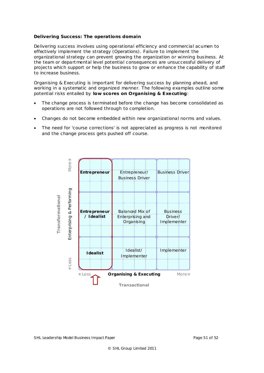## **Delivering Success: The operations domain**

Delivering success involves using operational efficiency and commercial acumen to effectively implement the strategy (Operations). Failure to implement the organizational strategy can prevent growing the organization or winning business. At the team or departmental level potential consequences are unsuccessful delivery of projects which support or help the business to grow or enhance the capability of staff to increase business.

*Organising & Executing* is important for delivering success by planning ahead, and working in a systematic and organized manner. The following examples outline some potential risks entailed by **low scores on** *Organising & Executing*:

- The change process is terminated before the change has become consolidated as operations are not followed through to completion.
- Changes do not become embedded within new organizational norms and values.
- The need for 'course corrections' is not appreciated as progress is not monitored and the change process gets pushed off course.

![](_page_50_Figure_6.jpeg)